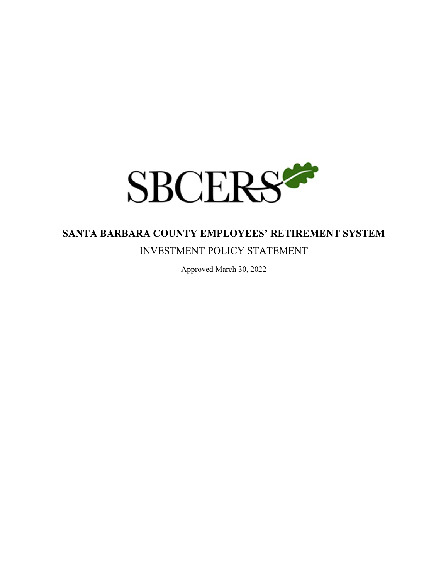

# **SANTA BARBARA COUNTY EMPLOYEES' RETIREMENT SYSTEM**

# INVESTMENT POLICY STATEMENT

Approved March 30, 2022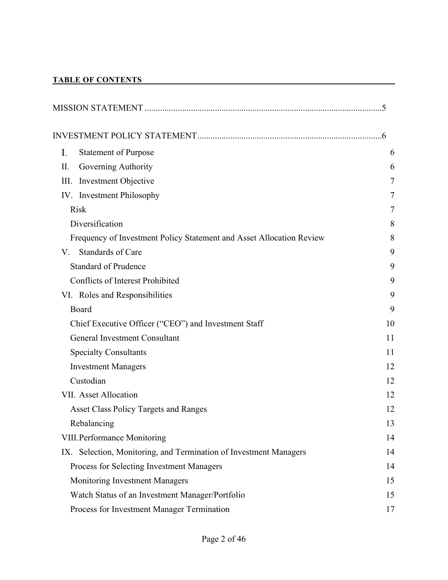# **TABLE OF CONTENTS**

| <b>Statement of Purpose</b><br>I.                                    | 6  |
|----------------------------------------------------------------------|----|
| Governing Authority<br>П.                                            | 6  |
| Investment Objective<br>III.                                         | 7  |
| IV. Investment Philosophy                                            | 7  |
| <b>Risk</b>                                                          | 7  |
| Diversification                                                      | 8  |
| Frequency of Investment Policy Statement and Asset Allocation Review | 8  |
| Standards of Care<br>V.                                              | 9  |
| <b>Standard of Prudence</b>                                          | 9  |
| <b>Conflicts of Interest Prohibited</b>                              | 9  |
| VI. Roles and Responsibilities                                       | 9  |
| Board                                                                | 9  |
| Chief Executive Officer ("CEO") and Investment Staff                 | 10 |
| General Investment Consultant                                        | 11 |
| <b>Specialty Consultants</b>                                         | 11 |
| <b>Investment Managers</b>                                           | 12 |
| Custodian                                                            | 12 |
| VII. Asset Allocation                                                | 12 |
| <b>Asset Class Policy Targets and Ranges</b>                         | 12 |
| Rebalancing                                                          | 13 |
| VIII. Performance Monitoring                                         | 14 |
| IX. Selection, Monitoring, and Termination of Investment Managers    | 14 |
| Process for Selecting Investment Managers                            | 14 |
| Monitoring Investment Managers                                       | 15 |
| Watch Status of an Investment Manager/Portfolio                      | 15 |
| Process for Investment Manager Termination                           | 17 |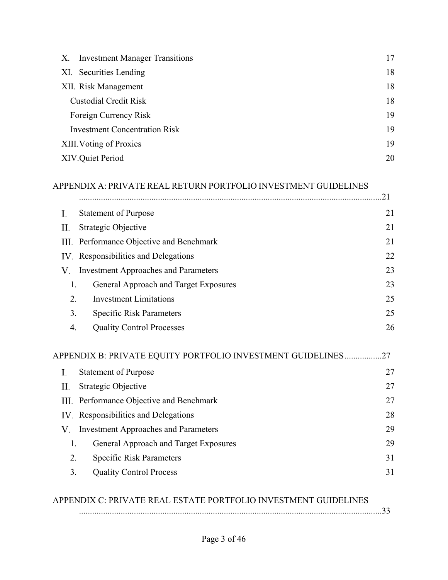| <b>Investment Manager Transitions</b><br>X. | 17 |
|---------------------------------------------|----|
| XI. Securities Lending                      | 18 |
| XII. Risk Management                        | 18 |
| <b>Custodial Credit Risk</b>                | 18 |
| Foreign Currency Risk                       | 19 |
| <b>Investment Concentration Risk</b>        | 19 |
| XIII. Voting of Proxies                     | 19 |
| XIV.Quiet Period                            | 20 |

# APPENDIX A: PRIVATE REAL RETURN PORTFOLIO INVESTMENT GUIDELINES

|     |                                                                 | .21 |
|-----|-----------------------------------------------------------------|-----|
| Ι.  | <b>Statement of Purpose</b>                                     | 21  |
| П.  | Strategic Objective                                             | 21  |
| Ш.  | Performance Objective and Benchmark                             | 21  |
| IV. | Responsibilities and Delegations                                | 22  |
| V.  | <b>Investment Approaches and Parameters</b>                     | 23  |
| 1.  | General Approach and Target Exposures                           | 23  |
| 2.  | <b>Investment Limitations</b>                                   | 25  |
| 3.  | <b>Specific Risk Parameters</b>                                 | 25  |
| 4.  | <b>Quality Control Processes</b>                                | 26  |
|     | APPENDIX B: PRIVATE EQUITY PORTFOLIO INVESTMENT GUIDELINES      | .27 |
| I.  | <b>Statement of Purpose</b>                                     | 27  |
| П.  | Strategic Objective                                             | 27  |
| Ш.  | Performance Objective and Benchmark                             | 27  |
| IV. | Responsibilities and Delegations                                | 28  |
| V.  | <b>Investment Approaches and Parameters</b>                     | 29  |
| 1.  | General Approach and Target Exposures                           | 29  |
| 2.  | <b>Specific Risk Parameters</b>                                 | 31  |
| 3.  | <b>Quality Control Process</b>                                  | 31  |
|     | APPENDIX C: PRIVATE REAL ESTATE PORTFOLIO INVESTMENT GUIDELINES | .33 |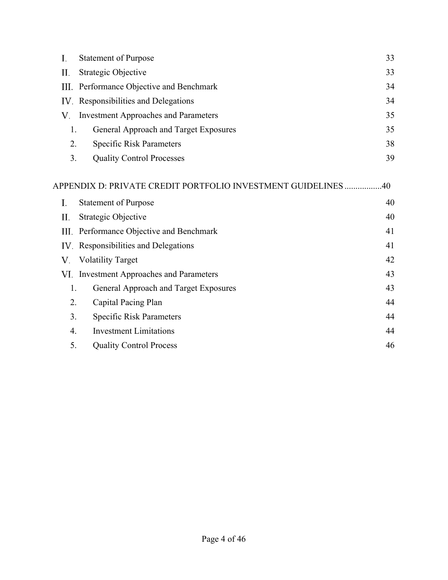| I.   | <b>Statement of Purpose</b>                                   | 33 |
|------|---------------------------------------------------------------|----|
| П.   | Strategic Objective                                           | 33 |
| III. | Performance Objective and Benchmark                           | 34 |
| IV.  | Responsibilities and Delegations                              | 34 |
| V.   | <b>Investment Approaches and Parameters</b>                   | 35 |
| 1.   | General Approach and Target Exposures                         | 35 |
| 2.   | <b>Specific Risk Parameters</b>                               | 38 |
| 3.   | <b>Quality Control Processes</b>                              | 39 |
|      | APPENDIX D: PRIVATE CREDIT PORTFOLIO INVESTMENT GUIDELINES 40 |    |
| I.   | <b>Statement of Purpose</b>                                   | 40 |
| П.   | Strategic Objective                                           | 40 |
| Ш.   | Performance Objective and Benchmark                           | 41 |
| IV.  | Responsibilities and Delegations                              | 41 |
| V.   | <b>Volatility Target</b>                                      | 42 |
| VI.  | <b>Investment Approaches and Parameters</b>                   | 43 |
| 1.   | General Approach and Target Exposures                         | 43 |
| 2.   | Capital Pacing Plan                                           | 44 |
| 3.   | <b>Specific Risk Parameters</b>                               | 44 |

4. Investment Limitations 44 5. Quality Control Process 46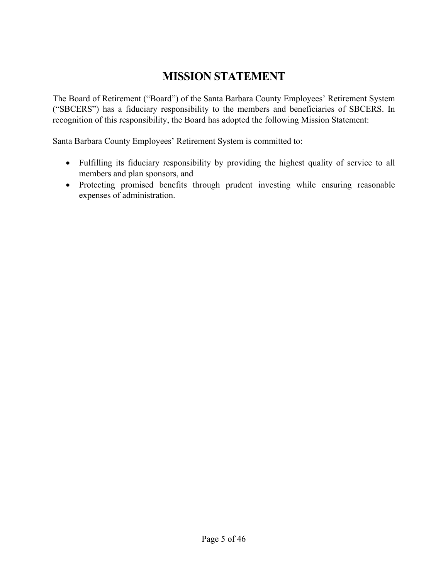# **MISSION STATEMENT**

The Board of Retirement ("Board") of the Santa Barbara County Employees' Retirement System ("SBCERS") has a fiduciary responsibility to the members and beneficiaries of SBCERS. In recognition of this responsibility, the Board has adopted the following Mission Statement:

Santa Barbara County Employees' Retirement System is committed to:

- Fulfilling its fiduciary responsibility by providing the highest quality of service to all members and plan sponsors, and
- Protecting promised benefits through prudent investing while ensuring reasonable expenses of administration.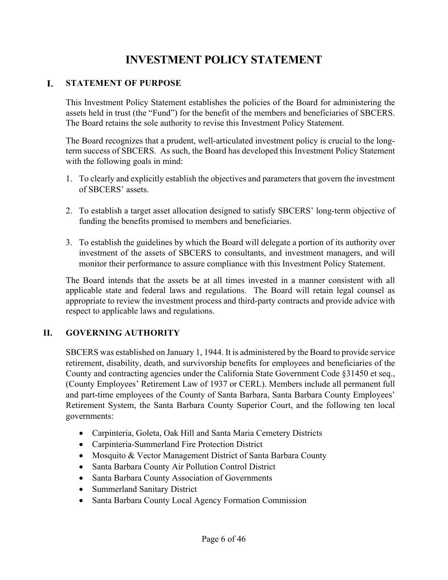# **INVESTMENT POLICY STATEMENT**

#### L. **STATEMENT OF PURPOSE**

This Investment Policy Statement establishes the policies of the Board for administering the assets held in trust (the "Fund") for the benefit of the members and beneficiaries of SBCERS. The Board retains the sole authority to revise this Investment Policy Statement.

The Board recognizes that a prudent, well-articulated investment policy is crucial to the longterm success of SBCERS. As such, the Board has developed this Investment Policy Statement with the following goals in mind:

- 1. To clearly and explicitly establish the objectives and parameters that govern the investment of SBCERS' assets.
- 2. To establish a target asset allocation designed to satisfy SBCERS' long-term objective of funding the benefits promised to members and beneficiaries.
- 3. To establish the guidelines by which the Board will delegate a portion of its authority over investment of the assets of SBCERS to consultants, and investment managers, and will monitor their performance to assure compliance with this Investment Policy Statement.

The Board intends that the assets be at all times invested in a manner consistent with all applicable state and federal laws and regulations. The Board will retain legal counsel as appropriate to review the investment process and third-party contracts and provide advice with respect to applicable laws and regulations.

# **II. GOVERNING AUTHORITY**

SBCERS was established on January 1, 1944. It is administered by the Board to provide service retirement, disability, death, and survivorship benefits for employees and beneficiaries of the County and contracting agencies under the California State Government Code §31450 et seq., (County Employees' Retirement Law of 1937 or CERL). Members include all permanent full and part-time employees of the County of Santa Barbara, Santa Barbara County Employees' Retirement System, the Santa Barbara County Superior Court, and the following ten local governments:

- Carpinteria, Goleta, Oak Hill and Santa Maria Cemetery Districts
- Carpinteria-Summerland Fire Protection District
- Mosquito & Vector Management District of Santa Barbara County
- Santa Barbara County Air Pollution Control District
- Santa Barbara County Association of Governments
- Summerland Sanitary District
- Santa Barbara County Local Agency Formation Commission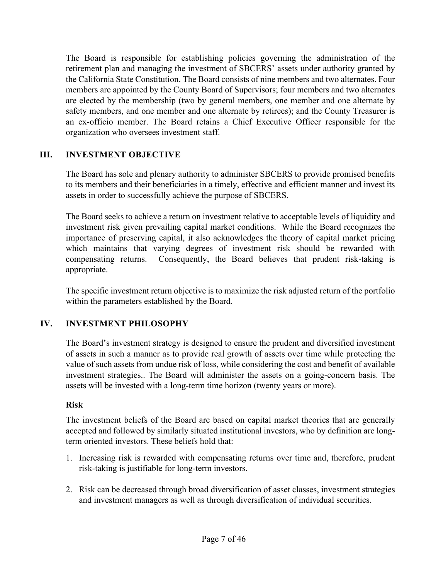The Board is responsible for establishing policies governing the administration of the retirement plan and managing the investment of SBCERS' assets under authority granted by the California State Constitution. The Board consists of nine members and two alternates. Four members are appointed by the County Board of Supervisors; four members and two alternates are elected by the membership (two by general members, one member and one alternate by safety members, and one member and one alternate by retirees); and the County Treasurer is an ex-officio member. The Board retains a Chief Executive Officer responsible for the organization who oversees investment staff.

# **III. INVESTMENT OBJECTIVE**

The Board has sole and plenary authority to administer SBCERS to provide promised benefits to its members and their beneficiaries in a timely, effective and efficient manner and invest its assets in order to successfully achieve the purpose of SBCERS.

The Board seeks to achieve a return on investment relative to acceptable levels of liquidity and investment risk given prevailing capital market conditions. While the Board recognizes the importance of preserving capital, it also acknowledges the theory of capital market pricing which maintains that varying degrees of investment risk should be rewarded with compensating returns. Consequently, the Board believes that prudent risk-taking is appropriate.

The specific investment return objective is to maximize the risk adjusted return of the portfolio within the parameters established by the Board.

# **IV. INVESTMENT PHILOSOPHY**

The Board's investment strategy is designed to ensure the prudent and diversified investment of assets in such a manner as to provide real growth of assets over time while protecting the value of such assets from undue risk of loss, while considering the cost and benefit of available investment strategies.. The Board will administer the assets on a going-concern basis. The assets will be invested with a long-term time horizon (twenty years or more).

# **Risk**

The investment beliefs of the Board are based on capital market theories that are generally accepted and followed by similarly situated institutional investors, who by definition are longterm oriented investors. These beliefs hold that:

- 1. Increasing risk is rewarded with compensating returns over time and, therefore, prudent risk-taking is justifiable for long-term investors.
- 2. Risk can be decreased through broad diversification of asset classes, investment strategies and investment managers as well as through diversification of individual securities.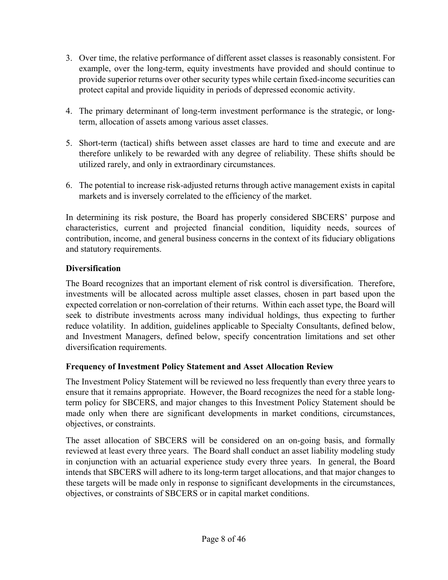- 3. Over time, the relative performance of different asset classes is reasonably consistent. For example, over the long-term, equity investments have provided and should continue to provide superior returns over other security types while certain fixed-income securities can protect capital and provide liquidity in periods of depressed economic activity.
- 4. The primary determinant of long-term investment performance is the strategic, or longterm, allocation of assets among various asset classes.
- 5. Short-term (tactical) shifts between asset classes are hard to time and execute and are therefore unlikely to be rewarded with any degree of reliability. These shifts should be utilized rarely, and only in extraordinary circumstances.
- 6. The potential to increase risk-adjusted returns through active management exists in capital markets and is inversely correlated to the efficiency of the market.

In determining its risk posture, the Board has properly considered SBCERS' purpose and characteristics, current and projected financial condition, liquidity needs, sources of contribution, income, and general business concerns in the context of its fiduciary obligations and statutory requirements.

# **Diversification**

The Board recognizes that an important element of risk control is diversification. Therefore, investments will be allocated across multiple asset classes, chosen in part based upon the expected correlation or non-correlation of their returns. Within each asset type, the Board will seek to distribute investments across many individual holdings, thus expecting to further reduce volatility. In addition, guidelines applicable to Specialty Consultants, defined below, and Investment Managers, defined below, specify concentration limitations and set other diversification requirements.

# **Frequency of Investment Policy Statement and Asset Allocation Review**

The Investment Policy Statement will be reviewed no less frequently than every three years to ensure that it remains appropriate. However, the Board recognizes the need for a stable longterm policy for SBCERS, and major changes to this Investment Policy Statement should be made only when there are significant developments in market conditions, circumstances, objectives, or constraints.

The asset allocation of SBCERS will be considered on an on-going basis, and formally reviewed at least every three years. The Board shall conduct an asset liability modeling study in conjunction with an actuarial experience study every three years. In general, the Board intends that SBCERS will adhere to its long-term target allocations, and that major changes to these targets will be made only in response to significant developments in the circumstances, objectives, or constraints of SBCERS or in capital market conditions.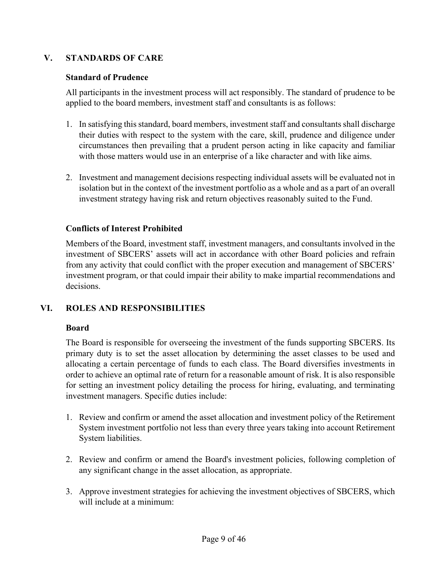# **V. STANDARDS OF CARE**

## **Standard of Prudence**

All participants in the investment process will act responsibly. The standard of prudence to be applied to the board members, investment staff and consultants is as follows:

- 1. In satisfying this standard, board members, investment staff and consultants shall discharge their duties with respect to the system with the care, skill, prudence and diligence under circumstances then prevailing that a prudent person acting in like capacity and familiar with those matters would use in an enterprise of a like character and with like aims.
- 2. Investment and management decisions respecting individual assets will be evaluated not in isolation but in the context of the investment portfolio as a whole and as a part of an overall investment strategy having risk and return objectives reasonably suited to the Fund.

# **Conflicts of Interest Prohibited**

Members of the Board, investment staff, investment managers, and consultants involved in the investment of SBCERS' assets will act in accordance with other Board policies and refrain from any activity that could conflict with the proper execution and management of SBCERS' investment program, or that could impair their ability to make impartial recommendations and decisions.

# **VI. ROLES AND RESPONSIBILITIES**

# **Board**

The Board is responsible for overseeing the investment of the funds supporting SBCERS. Its primary duty is to set the asset allocation by determining the asset classes to be used and allocating a certain percentage of funds to each class. The Board diversifies investments in order to achieve an optimal rate of return for a reasonable amount of risk. It is also responsible for setting an investment policy detailing the process for hiring, evaluating, and terminating investment managers. Specific duties include:

- 1. Review and confirm or amend the asset allocation and investment policy of the Retirement System investment portfolio not less than every three years taking into account Retirement System liabilities.
- 2. Review and confirm or amend the Board's investment policies, following completion of any significant change in the asset allocation, as appropriate.
- 3. Approve investment strategies for achieving the investment objectives of SBCERS, which will include at a minimum: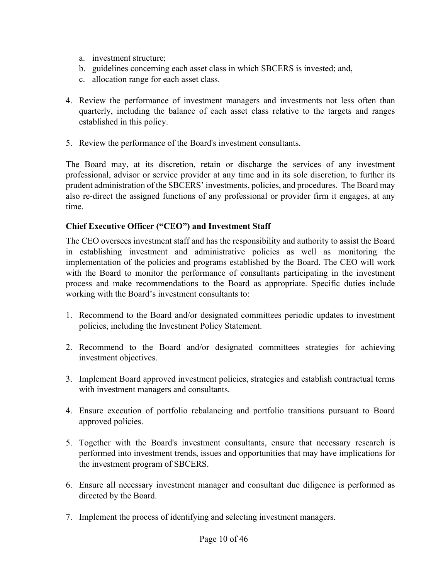- a. investment structure;
- b. guidelines concerning each asset class in which SBCERS is invested; and,
- c. allocation range for each asset class.
- 4. Review the performance of investment managers and investments not less often than quarterly, including the balance of each asset class relative to the targets and ranges established in this policy.
- 5. Review the performance of the Board's investment consultants.

The Board may, at its discretion, retain or discharge the services of any investment professional, advisor or service provider at any time and in its sole discretion, to further its prudent administration of the SBCERS' investments, policies, and procedures. The Board may also re-direct the assigned functions of any professional or provider firm it engages, at any time.

### **Chief Executive Officer ("CEO") and Investment Staff**

The CEO oversees investment staff and has the responsibility and authority to assist the Board in establishing investment and administrative policies as well as monitoring the implementation of the policies and programs established by the Board. The CEO will work with the Board to monitor the performance of consultants participating in the investment process and make recommendations to the Board as appropriate. Specific duties include working with the Board's investment consultants to:

- 1. Recommend to the Board and/or designated committees periodic updates to investment policies, including the Investment Policy Statement.
- 2. Recommend to the Board and/or designated committees strategies for achieving investment objectives.
- 3. Implement Board approved investment policies, strategies and establish contractual terms with investment managers and consultants.
- 4. Ensure execution of portfolio rebalancing and portfolio transitions pursuant to Board approved policies.
- 5. Together with the Board's investment consultants, ensure that necessary research is performed into investment trends, issues and opportunities that may have implications for the investment program of SBCERS.
- 6. Ensure all necessary investment manager and consultant due diligence is performed as directed by the Board.
- 7. Implement the process of identifying and selecting investment managers.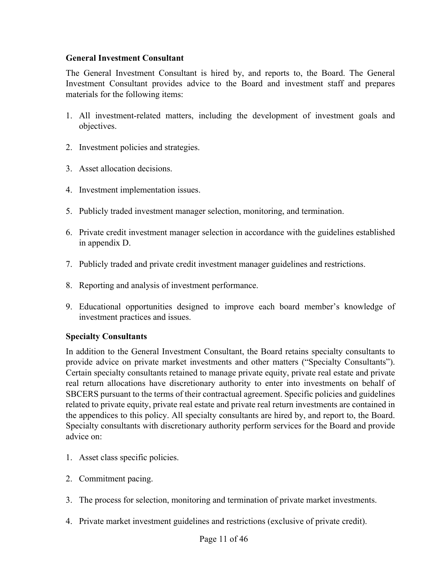### **General Investment Consultant**

The General Investment Consultant is hired by, and reports to, the Board. The General Investment Consultant provides advice to the Board and investment staff and prepares materials for the following items:

- 1. All investment-related matters, including the development of investment goals and objectives.
- 2. Investment policies and strategies.
- 3. Asset allocation decisions.
- 4. Investment implementation issues.
- 5. Publicly traded investment manager selection, monitoring, and termination.
- 6. Private credit investment manager selection in accordance with the guidelines established in appendix D.
- 7. Publicly traded and private credit investment manager guidelines and restrictions.
- 8. Reporting and analysis of investment performance.
- 9. Educational opportunities designed to improve each board member's knowledge of investment practices and issues.

# **Specialty Consultants**

In addition to the General Investment Consultant, the Board retains specialty consultants to provide advice on private market investments and other matters ("Specialty Consultants"). Certain specialty consultants retained to manage private equity, private real estate and private real return allocations have discretionary authority to enter into investments on behalf of SBCERS pursuant to the terms of their contractual agreement. Specific policies and guidelines related to private equity, private real estate and private real return investments are contained in the appendices to this policy. All specialty consultants are hired by, and report to, the Board. Specialty consultants with discretionary authority perform services for the Board and provide advice on:

- 1. Asset class specific policies.
- 2. Commitment pacing.
- 3. The process for selection, monitoring and termination of private market investments.
- 4. Private market investment guidelines and restrictions (exclusive of private credit).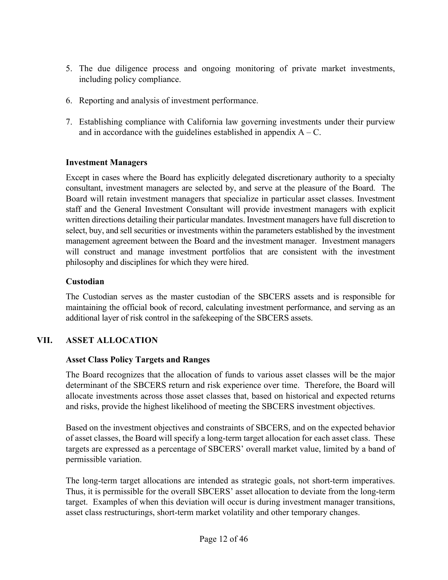- 5. The due diligence process and ongoing monitoring of private market investments, including policy compliance.
- 6. Reporting and analysis of investment performance.
- 7. Establishing compliance with California law governing investments under their purview and in accordance with the guidelines established in appendix  $A - C$ .

### **Investment Managers**

Except in cases where the Board has explicitly delegated discretionary authority to a specialty consultant, investment managers are selected by, and serve at the pleasure of the Board. The Board will retain investment managers that specialize in particular asset classes. Investment staff and the General Investment Consultant will provide investment managers with explicit written directions detailing their particular mandates. Investment managers have full discretion to select, buy, and sell securities or investments within the parameters established by the investment management agreement between the Board and the investment manager. Investment managers will construct and manage investment portfolios that are consistent with the investment philosophy and disciplines for which they were hired.

### **Custodian**

The Custodian serves as the master custodian of the SBCERS assets and is responsible for maintaining the official book of record, calculating investment performance, and serving as an additional layer of risk control in the safekeeping of the SBCERS assets.

# **VII. ASSET ALLOCATION**

### **Asset Class Policy Targets and Ranges**

The Board recognizes that the allocation of funds to various asset classes will be the major determinant of the SBCERS return and risk experience over time. Therefore, the Board will allocate investments across those asset classes that, based on historical and expected returns and risks, provide the highest likelihood of meeting the SBCERS investment objectives.

Based on the investment objectives and constraints of SBCERS, and on the expected behavior of asset classes, the Board will specify a long-term target allocation for each asset class. These targets are expressed as a percentage of SBCERS' overall market value, limited by a band of permissible variation.

The long-term target allocations are intended as strategic goals, not short-term imperatives. Thus, it is permissible for the overall SBCERS' asset allocation to deviate from the long-term target. Examples of when this deviation will occur is during investment manager transitions, asset class restructurings, short-term market volatility and other temporary changes.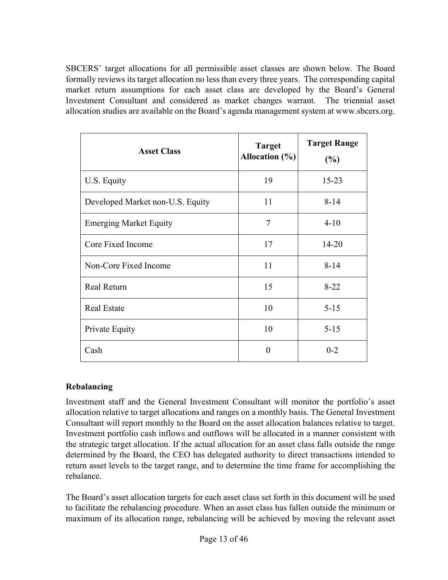SBCERS' target allocations for all permissible asset classes are shown below. The Board formally reviews its target allocation no less than every three years. The corresponding capital market return assumptions for each asset class are developed by the Board's General Investment Consultant and considered as market changes warrant. The triennial asset allocation studies are available on the Board's agenda management system at www.sbcers.org.

| <b>Asset Class</b>               | <b>Target</b><br>Allocation $(\% )$ | <b>Target Range</b><br>(%) |
|----------------------------------|-------------------------------------|----------------------------|
| U.S. Equity                      | 19                                  | $15 - 23$                  |
| Developed Market non-U.S. Equity | 11                                  | $8 - 14$                   |
| <b>Emerging Market Equity</b>    | 7                                   | $4 - 10$                   |
| Core Fixed Income                | 17                                  | $14 - 20$                  |
| Non-Core Fixed Income            | 11                                  | $8 - 14$                   |
| <b>Real Return</b>               | 15                                  | $8 - 22$                   |
| <b>Real Estate</b>               | 10                                  | $5 - 15$                   |
| Private Equity                   | 10                                  | $5 - 15$                   |
| Cash                             | 0                                   | $0 - 2$                    |

# **Rebalancing**

Investment staff and the General Investment Consultant will monitor the portfolio's asset allocation relative to target allocations and ranges on a monthly basis. The General Investment Consultant will report monthly to the Board on the asset allocation balances relative to target. Investment portfolio cash inflows and outflows will be allocated in a manner consistent with the strategic target allocation. If the actual allocation for an asset class falls outside the range determined by the Board, the CEO has delegated authority to direct transactions intended to return asset levels to the target range, and to determine the time frame for accomplishing the rebalance.

The Board's asset allocation targets for each asset class set forth in this document will be used to facilitate the rebalancing procedure. When an asset class has fallen outside the minimum or maximum of its allocation range, rebalancing will be achieved by moving the relevant asset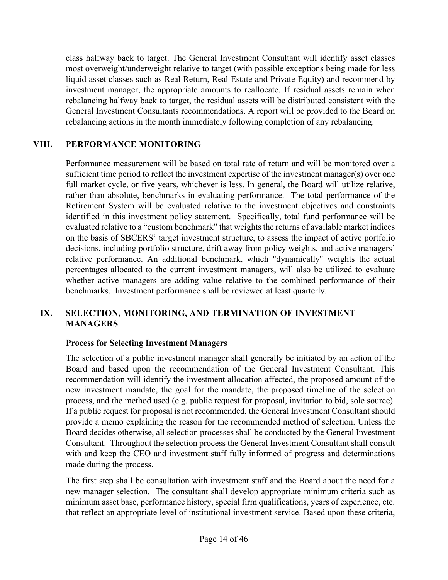class halfway back to target. The General Investment Consultant will identify asset classes most overweight/underweight relative to target (with possible exceptions being made for less liquid asset classes such as Real Return, Real Estate and Private Equity) and recommend by investment manager, the appropriate amounts to reallocate. If residual assets remain when rebalancing halfway back to target, the residual assets will be distributed consistent with the General Investment Consultants recommendations. A report will be provided to the Board on rebalancing actions in the month immediately following completion of any rebalancing.

# **VIII. PERFORMANCE MONITORING**

Performance measurement will be based on total rate of return and will be monitored over a sufficient time period to reflect the investment expertise of the investment manager(s) over one full market cycle, or five years, whichever is less. In general, the Board will utilize relative, rather than absolute, benchmarks in evaluating performance. The total performance of the Retirement System will be evaluated relative to the investment objectives and constraints identified in this investment policy statement. Specifically, total fund performance will be evaluated relative to a "custom benchmark" that weights the returns of available market indices on the basis of SBCERS' target investment structure, to assess the impact of active portfolio decisions, including portfolio structure, drift away from policy weights, and active managers' relative performance. An additional benchmark, which "dynamically" weights the actual percentages allocated to the current investment managers, will also be utilized to evaluate whether active managers are adding value relative to the combined performance of their benchmarks. Investment performance shall be reviewed at least quarterly.

# **IX. SELECTION, MONITORING, AND TERMINATION OF INVESTMENT MANAGERS**

# **Process for Selecting Investment Managers**

The selection of a public investment manager shall generally be initiated by an action of the Board and based upon the recommendation of the General Investment Consultant. This recommendation will identify the investment allocation affected, the proposed amount of the new investment mandate, the goal for the mandate, the proposed timeline of the selection process, and the method used (e.g. public request for proposal, invitation to bid, sole source). If a public request for proposal is not recommended, the General Investment Consultant should provide a memo explaining the reason for the recommended method of selection. Unless the Board decides otherwise, all selection processes shall be conducted by the General Investment Consultant. Throughout the selection process the General Investment Consultant shall consult with and keep the CEO and investment staff fully informed of progress and determinations made during the process.

The first step shall be consultation with investment staff and the Board about the need for a new manager selection. The consultant shall develop appropriate minimum criteria such as minimum asset base, performance history, special firm qualifications, years of experience, etc. that reflect an appropriate level of institutional investment service. Based upon these criteria,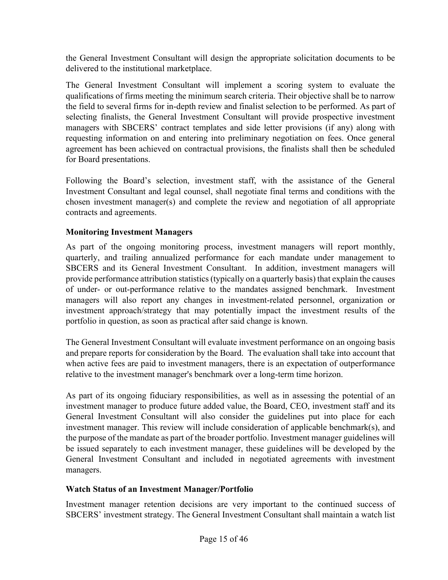the General Investment Consultant will design the appropriate solicitation documents to be delivered to the institutional marketplace.

The General Investment Consultant will implement a scoring system to evaluate the qualifications of firms meeting the minimum search criteria. Their objective shall be to narrow the field to several firms for in-depth review and finalist selection to be performed. As part of selecting finalists, the General Investment Consultant will provide prospective investment managers with SBCERS' contract templates and side letter provisions (if any) along with requesting information on and entering into preliminary negotiation on fees. Once general agreement has been achieved on contractual provisions, the finalists shall then be scheduled for Board presentations.

Following the Board's selection, investment staff, with the assistance of the General Investment Consultant and legal counsel, shall negotiate final terms and conditions with the chosen investment manager(s) and complete the review and negotiation of all appropriate contracts and agreements.

# **Monitoring Investment Managers**

As part of the ongoing monitoring process, investment managers will report monthly, quarterly, and trailing annualized performance for each mandate under management to SBCERS and its General Investment Consultant. In addition, investment managers will provide performance attribution statistics (typically on a quarterly basis) that explain the causes of under- or out-performance relative to the mandates assigned benchmark. Investment managers will also report any changes in investment-related personnel, organization or investment approach/strategy that may potentially impact the investment results of the portfolio in question, as soon as practical after said change is known.

The General Investment Consultant will evaluate investment performance on an ongoing basis and prepare reports for consideration by the Board. The evaluation shall take into account that when active fees are paid to investment managers, there is an expectation of outperformance relative to the investment manager's benchmark over a long-term time horizon.

As part of its ongoing fiduciary responsibilities, as well as in assessing the potential of an investment manager to produce future added value, the Board, CEO, investment staff and its General Investment Consultant will also consider the guidelines put into place for each investment manager. This review will include consideration of applicable benchmark(s), and the purpose of the mandate as part of the broader portfolio. Investment manager guidelines will be issued separately to each investment manager, these guidelines will be developed by the General Investment Consultant and included in negotiated agreements with investment managers.

# **Watch Status of an Investment Manager/Portfolio**

Investment manager retention decisions are very important to the continued success of SBCERS' investment strategy. The General Investment Consultant shall maintain a watch list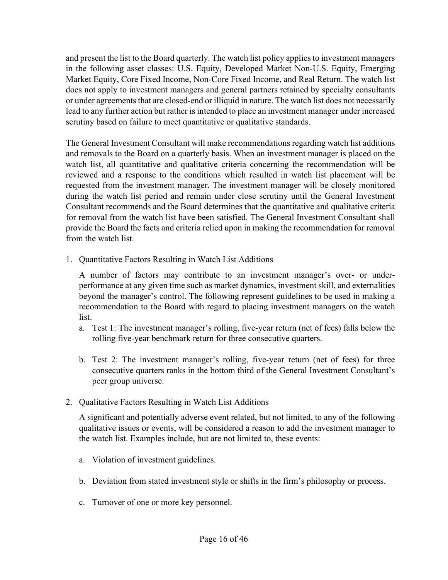and present the list to the Board quarterly. The watch list policy applies to investment managers in the following asset classes: U.S. Equity, Developed Market Non-U.S. Equity, Emerging Market Equity, Core Fixed Income, Non-Core Fixed Income, and Real Return. The watch list does not apply to investment managers and general partners retained by specialty consultants or under agreements that are closed-end or illiquid in nature. The watch list does not necessarily lead to any further action but rather is intended to place an investment manager under increased scrutiny based on failure to meet quantitative or qualitative standards.

The General Investment Consultant will make recommendations regarding watch list additions and removals to the Board on a quarterly basis. When an investment manager is placed on the watch list, all quantitative and qualitative criteria concerning the recommendation will be reviewed and a response to the conditions which resulted in watch list placement will be requested from the investment manager. The investment manager will be closely monitored during the watch list period and remain under close scrutiny until the General Investment Consultant recommends and the Board determines that the quantitative and qualitative criteria for removal from the watch list have been satisfied. The General Investment Consultant shall provide the Board the facts and criteria relied upon in making the recommendation for removal from the watch list.

1. Quantitative Factors Resulting in Watch List Additions

A number of factors may contribute to an investment manager's over- or underperformance at any given time such as market dynamics, investment skill, and externalities beyond the manager's control. The following represent guidelines to be used in making a recommendation to the Board with regard to placing investment managers on the watch list.

- a. Test 1: The investment manager's rolling, five-year return (net of fees) falls below the rolling five-year benchmark return for three consecutive quarters.
- b. Test 2: The investment manager's rolling, five-year return (net of fees) for three consecutive quarters ranks in the bottom third of the General Investment Consultant's peer group universe.
- 2. Qualitative Factors Resulting in Watch List Additions

A significant and potentially adverse event related, but not limited, to any of the following qualitative issues or events, will be considered a reason to add the investment manager to the watch list. Examples include, but are not limited to, these events:

- a. Violation of investment guidelines.
- b. Deviation from stated investment style or shifts in the firm's philosophy or process.
- c. Turnover of one or more key personnel.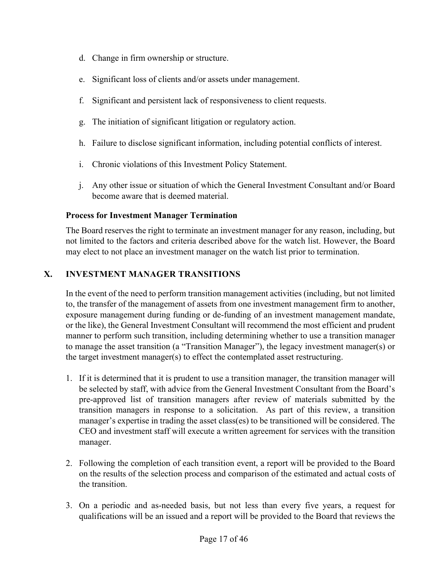- d. Change in firm ownership or structure.
- e. Significant loss of clients and/or assets under management.
- f. Significant and persistent lack of responsiveness to client requests.
- g. The initiation of significant litigation or regulatory action.
- h. Failure to disclose significant information, including potential conflicts of interest.
- i. Chronic violations of this Investment Policy Statement.
- j. Any other issue or situation of which the General Investment Consultant and/or Board become aware that is deemed material.

### **Process for Investment Manager Termination**

The Board reserves the right to terminate an investment manager for any reason, including, but not limited to the factors and criteria described above for the watch list. However, the Board may elect to not place an investment manager on the watch list prior to termination.

# **X. INVESTMENT MANAGER TRANSITIONS**

In the event of the need to perform transition management activities (including, but not limited to, the transfer of the management of assets from one investment management firm to another, exposure management during funding or de-funding of an investment management mandate, or the like), the General Investment Consultant will recommend the most efficient and prudent manner to perform such transition, including determining whether to use a transition manager to manage the asset transition (a "Transition Manager"), the legacy investment manager(s) or the target investment manager(s) to effect the contemplated asset restructuring.

- 1. If it is determined that it is prudent to use a transition manager, the transition manager will be selected by staff, with advice from the General Investment Consultant from the Board's pre-approved list of transition managers after review of materials submitted by the transition managers in response to a solicitation. As part of this review, a transition manager's expertise in trading the asset class(es) to be transitioned will be considered. The CEO and investment staff will execute a written agreement for services with the transition manager.
- 2. Following the completion of each transition event, a report will be provided to the Board on the results of the selection process and comparison of the estimated and actual costs of the transition.
- 3. On a periodic and as-needed basis, but not less than every five years, a request for qualifications will be an issued and a report will be provided to the Board that reviews the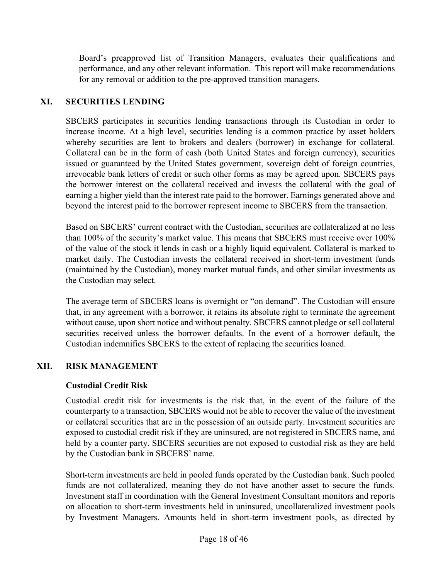Board's preapproved list of Transition Managers, evaluates their qualifications and performance, and any other relevant information. This report will make recommendations for any removal or addition to the pre-approved transition managers.

# **XI. SECURITIES LENDING**

SBCERS participates in securities lending transactions through its Custodian in order to increase income. At a high level, securities lending is a common practice by asset holders whereby securities are lent to brokers and dealers (borrower) in exchange for collateral. Collateral can be in the form of cash (both United States and foreign currency), securities issued or guaranteed by the United States government, sovereign debt of foreign countries, irrevocable bank letters of credit or such other forms as may be agreed upon. SBCERS pays the borrower interest on the collateral received and invests the collateral with the goal of earning a higher yield than the interest rate paid to the borrower. Earnings generated above and beyond the interest paid to the borrower represent income to SBCERS from the transaction.

Based on SBCERS' current contract with the Custodian, securities are collateralized at no less than 100% of the security's market value. This means that SBCERS must receive over 100% of the value of the stock it lends in cash or a highly liquid equivalent. Collateral is marked to market daily. The Custodian invests the collateral received in short-term investment funds (maintained by the Custodian), money market mutual funds, and other similar investments as the Custodian may select.

The average term of SBCERS loans is overnight or "on demand". The Custodian will ensure that, in any agreement with a borrower, it retains its absolute right to terminate the agreement without cause, upon short notice and without penalty. SBCERS cannot pledge or sell collateral securities received unless the borrower defaults. In the event of a borrower default, the Custodian indemnifies SBCERS to the extent of replacing the securities loaned.

# **XII. RISK MANAGEMENT**

# **Custodial Credit Risk**

Custodial credit risk for investments is the risk that, in the event of the failure of the counterparty to a transaction, SBCERS would not be able to recover the value of the investment or collateral securities that are in the possession of an outside party. Investment securities are exposed to custodial credit risk if they are uninsured, are not registered in SBCERS name, and held by a counter party. SBCERS securities are not exposed to custodial risk as they are held by the Custodian bank in SBCERS' name.

Short-term investments are held in pooled funds operated by the Custodian bank. Such pooled funds are not collateralized, meaning they do not have another asset to secure the funds. Investment staff in coordination with the General Investment Consultant monitors and reports on allocation to short-term investments held in uninsured, uncollateralized investment pools by Investment Managers. Amounts held in short-term investment pools, as directed by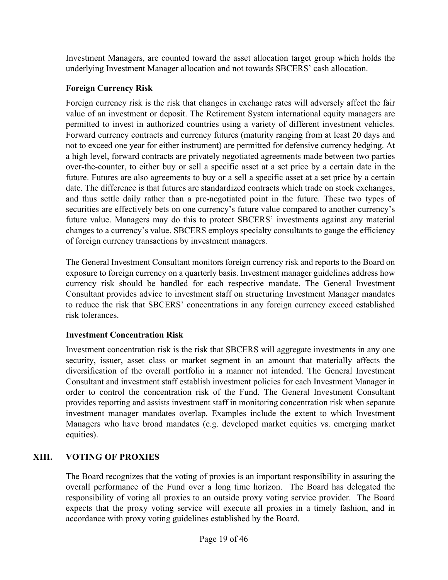Investment Managers, are counted toward the asset allocation target group which holds the underlying Investment Manager allocation and not towards SBCERS' cash allocation.

# **Foreign Currency Risk**

Foreign currency risk is the risk that changes in exchange rates will adversely affect the fair value of an investment or deposit. The Retirement System international equity managers are permitted to invest in authorized countries using a variety of different investment vehicles. Forward currency contracts and currency futures (maturity ranging from at least 20 days and not to exceed one year for either instrument) are permitted for defensive currency hedging. At a high level, forward contracts are privately negotiated agreements made between two parties over-the-counter, to either buy or sell a specific asset at a set price by a certain date in the future. Futures are also agreements to buy or a sell a specific asset at a set price by a certain date. The difference is that futures are standardized contracts which trade on stock exchanges, and thus settle daily rather than a pre-negotiated point in the future. These two types of securities are effectively bets on one currency's future value compared to another currency's future value. Managers may do this to protect SBCERS' investments against any material changes to a currency's value. SBCERS employs specialty consultants to gauge the efficiency of foreign currency transactions by investment managers.

The General Investment Consultant monitors foreign currency risk and reports to the Board on exposure to foreign currency on a quarterly basis. Investment manager guidelines address how currency risk should be handled for each respective mandate. The General Investment Consultant provides advice to investment staff on structuring Investment Manager mandates to reduce the risk that SBCERS' concentrations in any foreign currency exceed established risk tolerances.

# **Investment Concentration Risk**

Investment concentration risk is the risk that SBCERS will aggregate investments in any one security, issuer, asset class or market segment in an amount that materially affects the diversification of the overall portfolio in a manner not intended. The General Investment Consultant and investment staff establish investment policies for each Investment Manager in order to control the concentration risk of the Fund. The General Investment Consultant provides reporting and assists investment staff in monitoring concentration risk when separate investment manager mandates overlap. Examples include the extent to which Investment Managers who have broad mandates (e.g. developed market equities vs. emerging market equities).

# **XIII. VOTING OF PROXIES**

The Board recognizes that the voting of proxies is an important responsibility in assuring the overall performance of the Fund over a long time horizon. The Board has delegated the responsibility of voting all proxies to an outside proxy voting service provider. The Board expects that the proxy voting service will execute all proxies in a timely fashion, and in accordance with proxy voting guidelines established by the Board.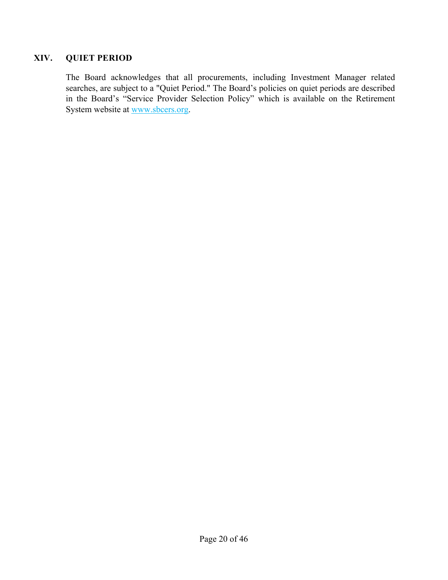# **XIV. QUIET PERIOD**

The Board acknowledges that all procurements, including Investment Manager related searches, are subject to a "Quiet Period." The Board's policies on quiet periods are described in the Board's "Service Provider Selection Policy" which is available on the Retirement System website at www.sbcers.org.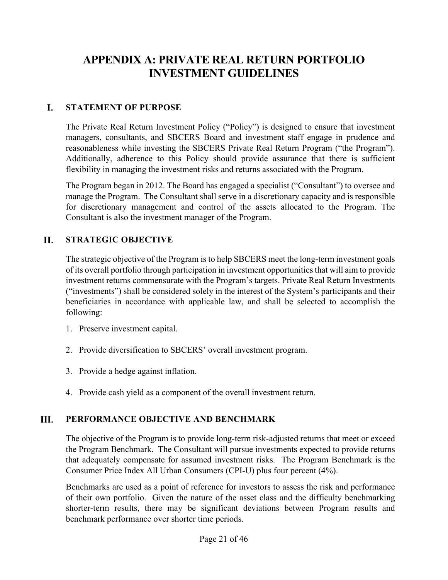# **APPENDIX A: PRIVATE REAL RETURN PORTFOLIO INVESTMENT GUIDELINES**

#### I. **STATEMENT OF PURPOSE**

The Private Real Return Investment Policy ("Policy") is designed to ensure that investment managers, consultants, and SBCERS Board and investment staff engage in prudence and reasonableness while investing the SBCERS Private Real Return Program ("the Program"). Additionally, adherence to this Policy should provide assurance that there is sufficient flexibility in managing the investment risks and returns associated with the Program.

The Program began in 2012. The Board has engaged a specialist ("Consultant") to oversee and manage the Program. The Consultant shall serve in a discretionary capacity and is responsible for discretionary management and control of the assets allocated to the Program. The Consultant is also the investment manager of the Program.

#### **II. STRATEGIC OBJECTIVE**

The strategic objective of the Program is to help SBCERS meet the long-term investment goals of its overall portfolio through participation in investment opportunities that will aim to provide investment returns commensurate with the Program's targets. Private Real Return Investments ("investments") shall be considered solely in the interest of the System's participants and their beneficiaries in accordance with applicable law, and shall be selected to accomplish the following:

- 1. Preserve investment capital.
- 2. Provide diversification to SBCERS' overall investment program.
- 3. Provide a hedge against inflation.
- 4. Provide cash yield as a component of the overall investment return.

#### III. **PERFORMANCE OBJECTIVE AND BENCHMARK**

The objective of the Program is to provide long-term risk-adjusted returns that meet or exceed the Program Benchmark. The Consultant will pursue investments expected to provide returns that adequately compensate for assumed investment risks. The Program Benchmark is the Consumer Price Index All Urban Consumers (CPI-U) plus four percent (4%).

Benchmarks are used as a point of reference for investors to assess the risk and performance of their own portfolio. Given the nature of the asset class and the difficulty benchmarking shorter-term results, there may be significant deviations between Program results and benchmark performance over shorter time periods.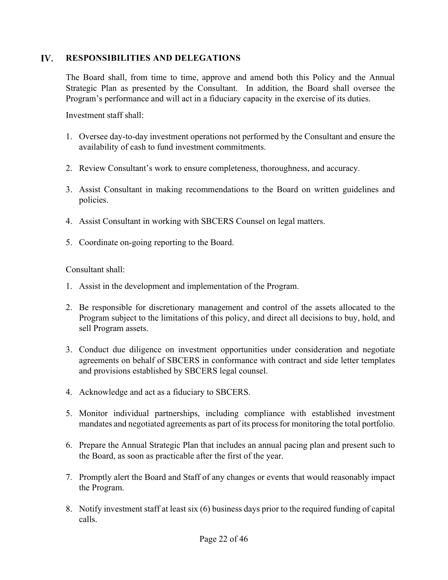#### $\mathbf{IV}$ . **RESPONSIBILITIES AND DELEGATIONS**

The Board shall, from time to time, approve and amend both this Policy and the Annual Strategic Plan as presented by the Consultant. In addition, the Board shall oversee the Program's performance and will act in a fiduciary capacity in the exercise of its duties.

Investment staff shall:

- 1. Oversee day-to-day investment operations not performed by the Consultant and ensure the availability of cash to fund investment commitments.
- 2. Review Consultant's work to ensure completeness, thoroughness, and accuracy.
- 3. Assist Consultant in making recommendations to the Board on written guidelines and policies.
- 4. Assist Consultant in working with SBCERS Counsel on legal matters.
- 5. Coordinate on-going reporting to the Board.

Consultant shall:

- 1. Assist in the development and implementation of the Program.
- 2. Be responsible for discretionary management and control of the assets allocated to the Program subject to the limitations of this policy, and direct all decisions to buy, hold, and sell Program assets.
- 3. Conduct due diligence on investment opportunities under consideration and negotiate agreements on behalf of SBCERS in conformance with contract and side letter templates and provisions established by SBCERS legal counsel.
- 4. Acknowledge and act as a fiduciary to SBCERS.
- 5. Monitor individual partnerships, including compliance with established investment mandates and negotiated agreements as part of its process for monitoring the total portfolio.
- 6. Prepare the Annual Strategic Plan that includes an annual pacing plan and present such to the Board, as soon as practicable after the first of the year.
- 7. Promptly alert the Board and Staff of any changes or events that would reasonably impact the Program.
- 8. Notify investment staff at least six (6) business days prior to the required funding of capital calls.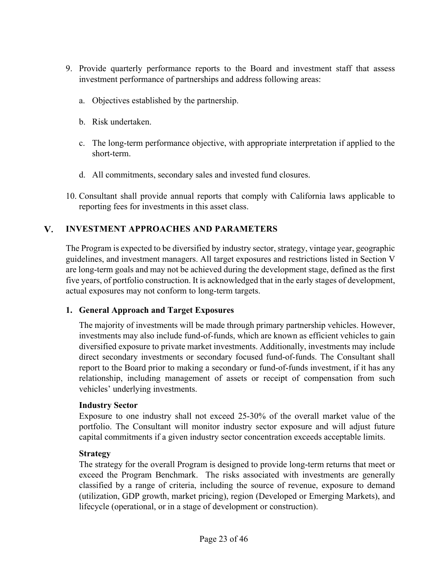- 9. Provide quarterly performance reports to the Board and investment staff that assess investment performance of partnerships and address following areas:
	- a. Objectives established by the partnership.
	- b. Risk undertaken.
	- c. The long-term performance objective, with appropriate interpretation if applied to the short-term.
	- d. All commitments, secondary sales and invested fund closures.
- 10. Consultant shall provide annual reports that comply with California laws applicable to reporting fees for investments in this asset class.

#### V. **INVESTMENT APPROACHES AND PARAMETERS**

The Program is expected to be diversified by industry sector, strategy, vintage year, geographic guidelines, and investment managers. All target exposures and restrictions listed in Section V are long-term goals and may not be achieved during the development stage, defined as the first five years, of portfolio construction. It is acknowledged that in the early stages of development, actual exposures may not conform to long-term targets.

# **1. General Approach and Target Exposures**

The majority of investments will be made through primary partnership vehicles. However, investments may also include fund-of-funds, which are known as efficient vehicles to gain diversified exposure to private market investments. Additionally, investments may include direct secondary investments or secondary focused fund-of-funds. The Consultant shall report to the Board prior to making a secondary or fund-of-funds investment, if it has any relationship, including management of assets or receipt of compensation from such vehicles' underlying investments.

# **Industry Sector**

Exposure to one industry shall not exceed 25-30% of the overall market value of the portfolio. The Consultant will monitor industry sector exposure and will adjust future capital commitments if a given industry sector concentration exceeds acceptable limits.

# **Strategy**

The strategy for the overall Program is designed to provide long-term returns that meet or exceed the Program Benchmark. The risks associated with investments are generally classified by a range of criteria, including the source of revenue, exposure to demand (utilization, GDP growth, market pricing), region (Developed or Emerging Markets), and lifecycle (operational, or in a stage of development or construction).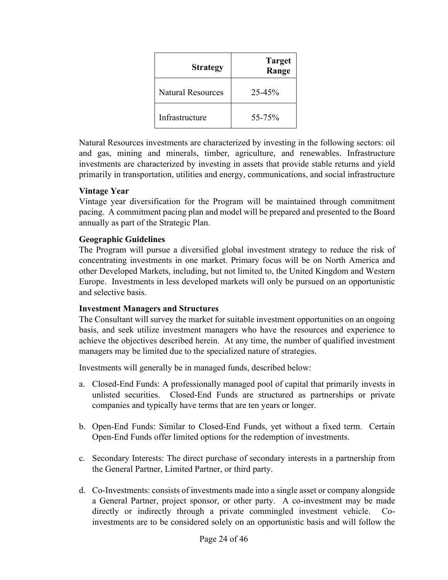| <b>Strategy</b>          | <b>Target</b><br>Range |
|--------------------------|------------------------|
| <b>Natural Resources</b> | $25 - 45%$             |
| Infrastructure           | 55-75%                 |

Natural Resources investments are characterized by investing in the following sectors: oil and gas, mining and minerals, timber, agriculture, and renewables. Infrastructure investments are characterized by investing in assets that provide stable returns and yield primarily in transportation, utilities and energy, communications, and social infrastructure

### **Vintage Year**

Vintage year diversification for the Program will be maintained through commitment pacing. A commitment pacing plan and model will be prepared and presented to the Board annually as part of the Strategic Plan.

# **Geographic Guidelines**

The Program will pursue a diversified global investment strategy to reduce the risk of concentrating investments in one market. Primary focus will be on North America and other Developed Markets, including, but not limited to, the United Kingdom and Western Europe. Investments in less developed markets will only be pursued on an opportunistic and selective basis.

# **Investment Managers and Structures**

The Consultant will survey the market for suitable investment opportunities on an ongoing basis, and seek utilize investment managers who have the resources and experience to achieve the objectives described herein. At any time, the number of qualified investment managers may be limited due to the specialized nature of strategies.

Investments will generally be in managed funds, described below:

- a. Closed-End Funds: A professionally managed pool of capital that primarily invests in unlisted securities. Closed-End Funds are structured as partnerships or private companies and typically have terms that are ten years or longer.
- b. Open-End Funds: Similar to Closed-End Funds, yet without a fixed term. Certain Open-End Funds offer limited options for the redemption of investments.
- c. Secondary Interests: The direct purchase of secondary interests in a partnership from the General Partner, Limited Partner, or third party.
- d. Co-Investments: consists of investments made into a single asset or company alongside a General Partner, project sponsor, or other party. A co-investment may be made directly or indirectly through a private commingled investment vehicle. Coinvestments are to be considered solely on an opportunistic basis and will follow the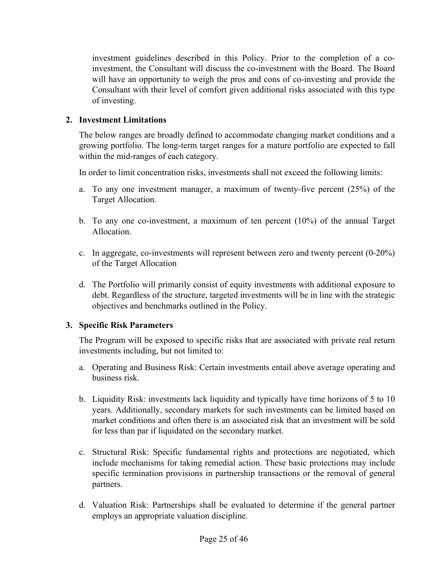investment guidelines described in this Policy. Prior to the completion of a coinvestment, the Consultant will discuss the co-investment with the Board. The Board will have an opportunity to weigh the pros and cons of co-investing and provide the Consultant with their level of comfort given additional risks associated with this type of investing.

# **2. Investment Limitations**

The below ranges are broadly defined to accommodate changing market conditions and a growing portfolio. The long-term target ranges for a mature portfolio are expected to fall within the mid-ranges of each category.

In order to limit concentration risks, investments shall not exceed the following limits:

- a. To any one investment manager, a maximum of twenty-five percent (25%) of the Target Allocation.
- b. To any one co-investment, a maximum of ten percent (10%) of the annual Target Allocation.
- c. In aggregate, co-investments will represent between zero and twenty percent (0-20%) of the Target Allocation
- d. The Portfolio will primarily consist of equity investments with additional exposure to debt. Regardless of the structure, targeted investments will be in line with the strategic objectives and benchmarks outlined in the Policy.

# **3. Specific Risk Parameters**

The Program will be exposed to specific risks that are associated with private real return investments including, but not limited to:

- a. Operating and Business Risk: Certain investments entail above average operating and business risk.
- b. Liquidity Risk: investments lack liquidity and typically have time horizons of 5 to 10 years. Additionally, secondary markets for such investments can be limited based on market conditions and often there is an associated risk that an investment will be sold for less than par if liquidated on the secondary market.
- c. Structural Risk: Specific fundamental rights and protections are negotiated, which include mechanisms for taking remedial action. These basic protections may include specific termination provisions in partnership transactions or the removal of general partners.
- d. Valuation Risk: Partnerships shall be evaluated to determine if the general partner employs an appropriate valuation discipline.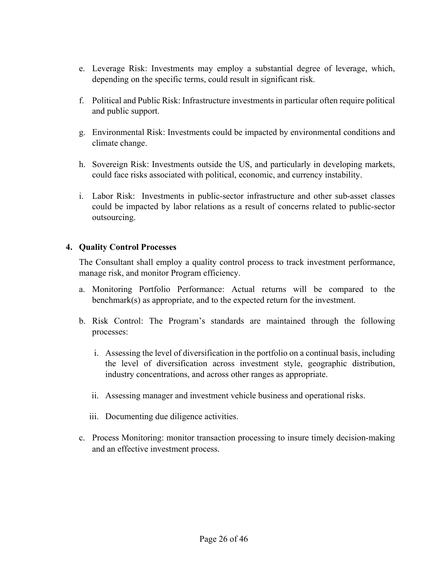- e. Leverage Risk: Investments may employ a substantial degree of leverage, which, depending on the specific terms, could result in significant risk.
- f. Political and Public Risk: Infrastructure investments in particular often require political and public support.
- g. Environmental Risk: Investments could be impacted by environmental conditions and climate change.
- h. Sovereign Risk: Investments outside the US, and particularly in developing markets, could face risks associated with political, economic, and currency instability.
- i. Labor Risk: Investments in public-sector infrastructure and other sub-asset classes could be impacted by labor relations as a result of concerns related to public-sector outsourcing.

### **4. Quality Control Processes**

The Consultant shall employ a quality control process to track investment performance, manage risk, and monitor Program efficiency.

- a. Monitoring Portfolio Performance: Actual returns will be compared to the benchmark(s) as appropriate, and to the expected return for the investment.
- b. Risk Control: The Program's standards are maintained through the following processes:
	- i. Assessing the level of diversification in the portfolio on a continual basis, including the level of diversification across investment style, geographic distribution, industry concentrations, and across other ranges as appropriate.
	- ii. Assessing manager and investment vehicle business and operational risks.
	- iii. Documenting due diligence activities.
- c. Process Monitoring: monitor transaction processing to insure timely decision-making and an effective investment process.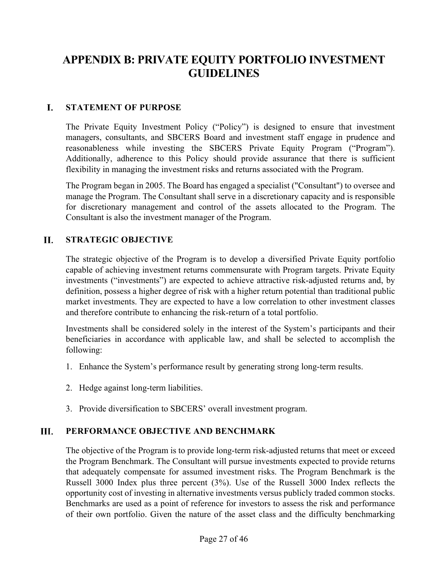# **APPENDIX B: PRIVATE EQUITY PORTFOLIO INVESTMENT GUIDELINES**

#### I. **STATEMENT OF PURPOSE**

The Private Equity Investment Policy ("Policy") is designed to ensure that investment managers, consultants, and SBCERS Board and investment staff engage in prudence and reasonableness while investing the SBCERS Private Equity Program ("Program"). Additionally, adherence to this Policy should provide assurance that there is sufficient flexibility in managing the investment risks and returns associated with the Program.

The Program began in 2005. The Board has engaged a specialist ("Consultant") to oversee and manage the Program. The Consultant shall serve in a discretionary capacity and is responsible for discretionary management and control of the assets allocated to the Program. The Consultant is also the investment manager of the Program.

#### **II. STRATEGIC OBJECTIVE**

The strategic objective of the Program is to develop a diversified Private Equity portfolio capable of achieving investment returns commensurate with Program targets. Private Equity investments ("investments") are expected to achieve attractive risk-adjusted returns and, by definition, possess a higher degree of risk with a higher return potential than traditional public market investments. They are expected to have a low correlation to other investment classes and therefore contribute to enhancing the risk-return of a total portfolio.

Investments shall be considered solely in the interest of the System's participants and their beneficiaries in accordance with applicable law, and shall be selected to accomplish the following:

- 1. Enhance the System's performance result by generating strong long-term results.
- 2. Hedge against long-term liabilities.
- 3. Provide diversification to SBCERS' overall investment program.

#### Ш. **PERFORMANCE OBJECTIVE AND BENCHMARK**

The objective of the Program is to provide long-term risk-adjusted returns that meet or exceed the Program Benchmark. The Consultant will pursue investments expected to provide returns that adequately compensate for assumed investment risks. The Program Benchmark is the Russell 3000 Index plus three percent (3%). Use of the Russell 3000 Index reflects the opportunity cost of investing in alternative investments versus publicly traded common stocks. Benchmarks are used as a point of reference for investors to assess the risk and performance of their own portfolio. Given the nature of the asset class and the difficulty benchmarking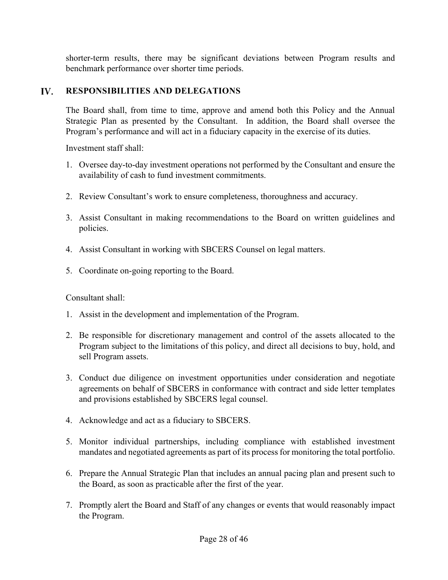shorter-term results, there may be significant deviations between Program results and benchmark performance over shorter time periods.

#### $\mathbf{IV}$ . **RESPONSIBILITIES AND DELEGATIONS**

The Board shall, from time to time, approve and amend both this Policy and the Annual Strategic Plan as presented by the Consultant. In addition, the Board shall oversee the Program's performance and will act in a fiduciary capacity in the exercise of its duties.

Investment staff shall:

- 1. Oversee day-to-day investment operations not performed by the Consultant and ensure the availability of cash to fund investment commitments.
- 2. Review Consultant's work to ensure completeness, thoroughness and accuracy.
- 3. Assist Consultant in making recommendations to the Board on written guidelines and policies.
- 4. Assist Consultant in working with SBCERS Counsel on legal matters.
- 5. Coordinate on-going reporting to the Board.

Consultant shall:

- 1. Assist in the development and implementation of the Program.
- 2. Be responsible for discretionary management and control of the assets allocated to the Program subject to the limitations of this policy, and direct all decisions to buy, hold, and sell Program assets.
- 3. Conduct due diligence on investment opportunities under consideration and negotiate agreements on behalf of SBCERS in conformance with contract and side letter templates and provisions established by SBCERS legal counsel.
- 4. Acknowledge and act as a fiduciary to SBCERS.
- 5. Monitor individual partnerships, including compliance with established investment mandates and negotiated agreements as part of its process for monitoring the total portfolio.
- 6. Prepare the Annual Strategic Plan that includes an annual pacing plan and present such to the Board, as soon as practicable after the first of the year.
- 7. Promptly alert the Board and Staff of any changes or events that would reasonably impact the Program.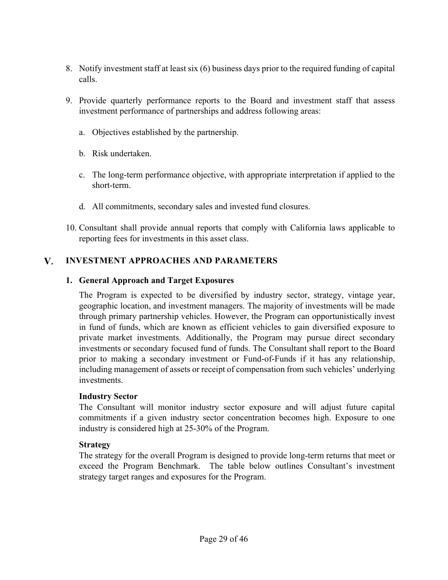- 8. Notify investment staff at least six (6) business days prior to the required funding of capital calls.
- 9. Provide quarterly performance reports to the Board and investment staff that assess investment performance of partnerships and address following areas:
	- a. Objectives established by the partnership.
	- b. Risk undertaken.
	- c. The long-term performance objective, with appropriate interpretation if applied to the short-term.
	- d. All commitments, secondary sales and invested fund closures.
- 10. Consultant shall provide annual reports that comply with California laws applicable to reporting fees for investments in this asset class.

#### V. **INVESTMENT APPROACHES AND PARAMETERS**

### **1. General Approach and Target Exposures**

The Program is expected to be diversified by industry sector, strategy, vintage year, geographic location, and investment managers. The majority of investments will be made through primary partnership vehicles. However, the Program can opportunistically invest in fund of funds, which are known as efficient vehicles to gain diversified exposure to private market investments. Additionally, the Program may pursue direct secondary investments or secondary focused fund of funds. The Consultant shall report to the Board prior to making a secondary investment or Fund-of-Funds if it has any relationship, including management of assets or receipt of compensation from such vehicles' underlying investments.

#### **Industry Sector**

The Consultant will monitor industry sector exposure and will adjust future capital commitments if a given industry sector concentration becomes high. Exposure to one industry is considered high at 25-30% of the Program.

### **Strategy**

The strategy for the overall Program is designed to provide long-term returns that meet or exceed the Program Benchmark. The table below outlines Consultant's investment strategy target ranges and exposures for the Program.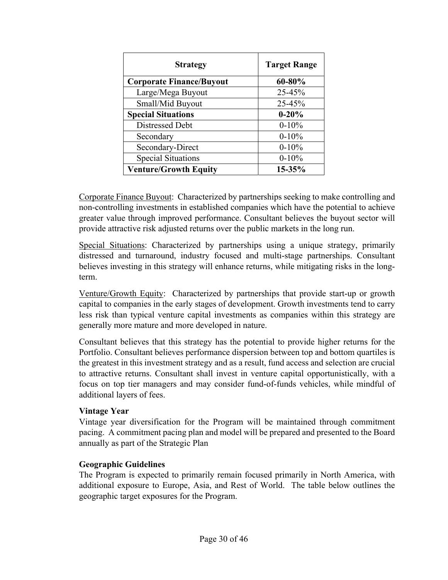| <b>Strategy</b>                 | <b>Target Range</b> |
|---------------------------------|---------------------|
| <b>Corporate Finance/Buyout</b> | 60-80%              |
| Large/Mega Buyout               | 25-45%              |
| Small/Mid Buyout                | 25-45%              |
| <b>Special Situations</b>       | $0 - 20%$           |
| Distressed Debt                 | $0 - 10\%$          |
| Secondary                       | $0 - 10\%$          |
| Secondary-Direct                | $0 - 10\%$          |
| <b>Special Situations</b>       | $0 - 10\%$          |
| <b>Venture/Growth Equity</b>    | 15-35%              |

Corporate Finance Buyout: Characterized by partnerships seeking to make controlling and non-controlling investments in established companies which have the potential to achieve greater value through improved performance. Consultant believes the buyout sector will provide attractive risk adjusted returns over the public markets in the long run.

Special Situations: Characterized by partnerships using a unique strategy, primarily distressed and turnaround, industry focused and multi-stage partnerships. Consultant believes investing in this strategy will enhance returns, while mitigating risks in the longterm.

Venture/Growth Equity: Characterized by partnerships that provide start-up or growth capital to companies in the early stages of development. Growth investments tend to carry less risk than typical venture capital investments as companies within this strategy are generally more mature and more developed in nature.

Consultant believes that this strategy has the potential to provide higher returns for the Portfolio. Consultant believes performance dispersion between top and bottom quartiles is the greatest in this investment strategy and as a result, fund access and selection are crucial to attractive returns. Consultant shall invest in venture capital opportunistically, with a focus on top tier managers and may consider fund-of-funds vehicles, while mindful of additional layers of fees.

### **Vintage Year**

Vintage year diversification for the Program will be maintained through commitment pacing. A commitment pacing plan and model will be prepared and presented to the Board annually as part of the Strategic Plan

### **Geographic Guidelines**

The Program is expected to primarily remain focused primarily in North America, with additional exposure to Europe, Asia, and Rest of World. The table below outlines the geographic target exposures for the Program.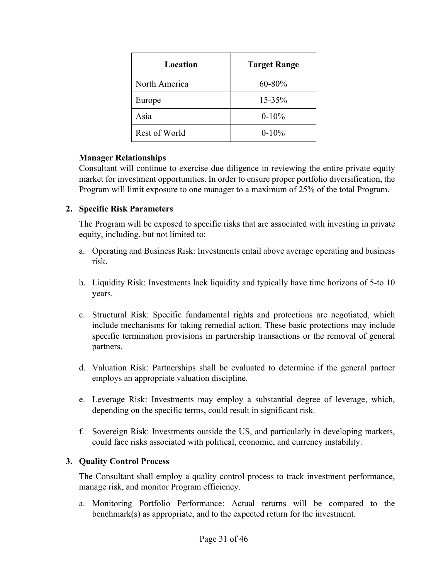| Location      | <b>Target Range</b> |
|---------------|---------------------|
| North America | 60-80%              |
| Europe        | 15-35%              |
| Asia          | $0 - 10\%$          |
| Rest of World | $0 - 10\%$          |

### **Manager Relationships**

Consultant will continue to exercise due diligence in reviewing the entire private equity market for investment opportunities. In order to ensure proper portfolio diversification, the Program will limit exposure to one manager to a maximum of 25% of the total Program.

### **2. Specific Risk Parameters**

The Program will be exposed to specific risks that are associated with investing in private equity, including, but not limited to:

- a. Operating and Business Risk: Investments entail above average operating and business risk.
- b. Liquidity Risk: Investments lack liquidity and typically have time horizons of 5-to 10 years.
- c. Structural Risk: Specific fundamental rights and protections are negotiated, which include mechanisms for taking remedial action. These basic protections may include specific termination provisions in partnership transactions or the removal of general partners.
- d. Valuation Risk: Partnerships shall be evaluated to determine if the general partner employs an appropriate valuation discipline.
- e. Leverage Risk: Investments may employ a substantial degree of leverage, which, depending on the specific terms, could result in significant risk.
- f. Sovereign Risk: Investments outside the US, and particularly in developing markets, could face risks associated with political, economic, and currency instability.

### **3. Quality Control Process**

The Consultant shall employ a quality control process to track investment performance, manage risk, and monitor Program efficiency.

a. Monitoring Portfolio Performance: Actual returns will be compared to the benchmark(s) as appropriate, and to the expected return for the investment.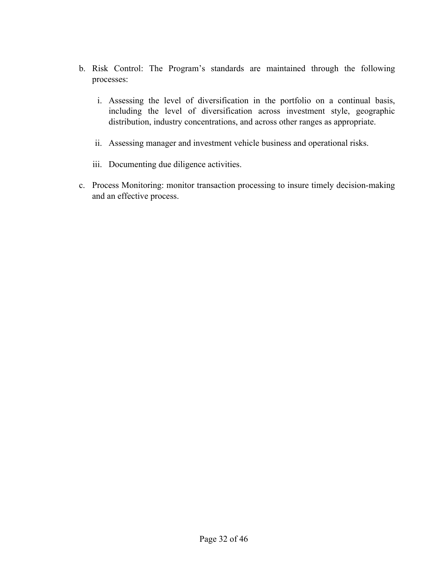- b. Risk Control: The Program's standards are maintained through the following processes:
	- i. Assessing the level of diversification in the portfolio on a continual basis, including the level of diversification across investment style, geographic distribution, industry concentrations, and across other ranges as appropriate.
	- ii. Assessing manager and investment vehicle business and operational risks.
	- iii. Documenting due diligence activities.
- c. Process Monitoring: monitor transaction processing to insure timely decision-making and an effective process.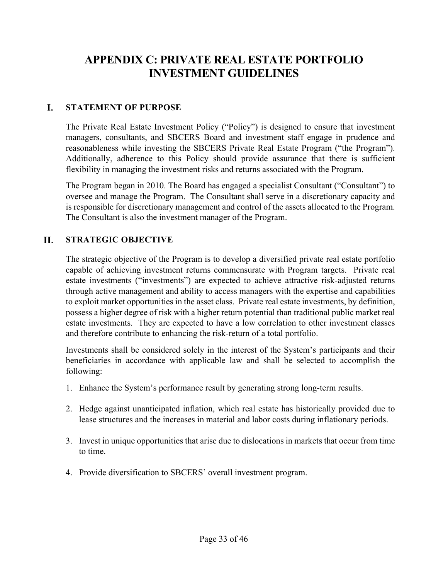# **APPENDIX C: PRIVATE REAL ESTATE PORTFOLIO INVESTMENT GUIDELINES**

#### I. **STATEMENT OF PURPOSE**

The Private Real Estate Investment Policy ("Policy") is designed to ensure that investment managers, consultants, and SBCERS Board and investment staff engage in prudence and reasonableness while investing the SBCERS Private Real Estate Program ("the Program"). Additionally, adherence to this Policy should provide assurance that there is sufficient flexibility in managing the investment risks and returns associated with the Program.

The Program began in 2010. The Board has engaged a specialist Consultant ("Consultant") to oversee and manage the Program. The Consultant shall serve in a discretionary capacity and is responsible for discretionary management and control of the assets allocated to the Program. The Consultant is also the investment manager of the Program.

#### **II. STRATEGIC OBJECTIVE**

The strategic objective of the Program is to develop a diversified private real estate portfolio capable of achieving investment returns commensurate with Program targets. Private real estate investments ("investments") are expected to achieve attractive risk-adjusted returns through active management and ability to access managers with the expertise and capabilities to exploit market opportunities in the asset class. Private real estate investments, by definition, possess a higher degree of risk with a higher return potential than traditional public market real estate investments. They are expected to have a low correlation to other investment classes and therefore contribute to enhancing the risk-return of a total portfolio.

Investments shall be considered solely in the interest of the System's participants and their beneficiaries in accordance with applicable law and shall be selected to accomplish the following:

- 1. Enhance the System's performance result by generating strong long-term results.
- 2. Hedge against unanticipated inflation, which real estate has historically provided due to lease structures and the increases in material and labor costs during inflationary periods.
- 3. Invest in unique opportunities that arise due to dislocations in markets that occur from time to time.
- 4. Provide diversification to SBCERS' overall investment program.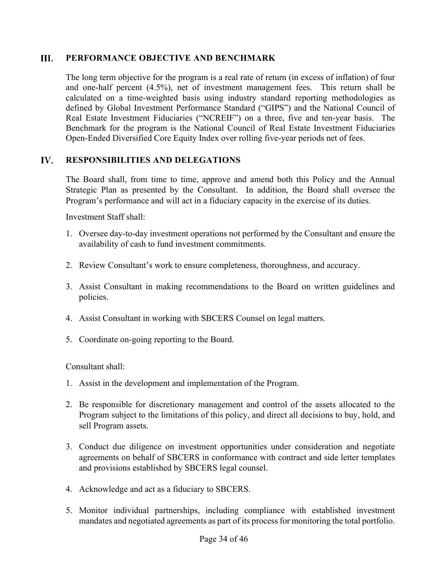#### III. **PERFORMANCE OBJECTIVE AND BENCHMARK**

The long term objective for the program is a real rate of return (in excess of inflation) of four and one-half percent (4.5%), net of investment management fees. This return shall be calculated on a time-weighted basis using industry standard reporting methodologies as defined by Global Investment Performance Standard ("GIPS") and the National Council of Real Estate Investment Fiduciaries ("NCREIF") on a three, five and ten-year basis. The Benchmark for the program is the National Council of Real Estate Investment Fiduciaries Open-Ended Diversified Core Equity Index over rolling five-year periods net of fees.

#### IV. **RESPONSIBILITIES AND DELEGATIONS**

The Board shall, from time to time, approve and amend both this Policy and the Annual Strategic Plan as presented by the Consultant. In addition, the Board shall oversee the Program's performance and will act in a fiduciary capacity in the exercise of its duties.

Investment Staff shall:

- 1. Oversee day-to-day investment operations not performed by the Consultant and ensure the availability of cash to fund investment commitments.
- 2. Review Consultant's work to ensure completeness, thoroughness, and accuracy.
- 3. Assist Consultant in making recommendations to the Board on written guidelines and policies.
- 4. Assist Consultant in working with SBCERS Counsel on legal matters.
- 5. Coordinate on-going reporting to the Board.

Consultant shall:

- 1. Assist in the development and implementation of the Program.
- 2. Be responsible for discretionary management and control of the assets allocated to the Program subject to the limitations of this policy, and direct all decisions to buy, hold, and sell Program assets.
- 3. Conduct due diligence on investment opportunities under consideration and negotiate agreements on behalf of SBCERS in conformance with contract and side letter templates and provisions established by SBCERS legal counsel.
- 4. Acknowledge and act as a fiduciary to SBCERS.
- 5. Monitor individual partnerships, including compliance with established investment mandates and negotiated agreements as part of its process for monitoring the total portfolio.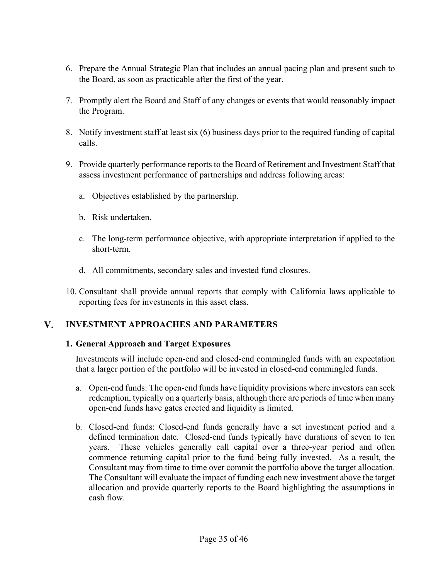- 6. Prepare the Annual Strategic Plan that includes an annual pacing plan and present such to the Board, as soon as practicable after the first of the year.
- 7. Promptly alert the Board and Staff of any changes or events that would reasonably impact the Program.
- 8. Notify investment staff at least six (6) business days prior to the required funding of capital calls.
- 9. Provide quarterly performance reports to the Board of Retirement and Investment Staff that assess investment performance of partnerships and address following areas:
	- a. Objectives established by the partnership.
	- b. Risk undertaken.
	- c. The long-term performance objective, with appropriate interpretation if applied to the short-term.
	- d. All commitments, secondary sales and invested fund closures.
- 10. Consultant shall provide annual reports that comply with California laws applicable to reporting fees for investments in this asset class.

#### V. **INVESTMENT APPROACHES AND PARAMETERS**

# **1. General Approach and Target Exposures**

Investments will include open-end and closed-end commingled funds with an expectation that a larger portion of the portfolio will be invested in closed-end commingled funds.

- a. Open-end funds: The open-end funds have liquidity provisions where investors can seek redemption, typically on a quarterly basis, although there are periods of time when many open-end funds have gates erected and liquidity is limited.
- b. Closed-end funds: Closed-end funds generally have a set investment period and a defined termination date. Closed-end funds typically have durations of seven to ten years. These vehicles generally call capital over a three-year period and often commence returning capital prior to the fund being fully invested. As a result, the Consultant may from time to time over commit the portfolio above the target allocation. The Consultant will evaluate the impact of funding each new investment above the target allocation and provide quarterly reports to the Board highlighting the assumptions in cash flow.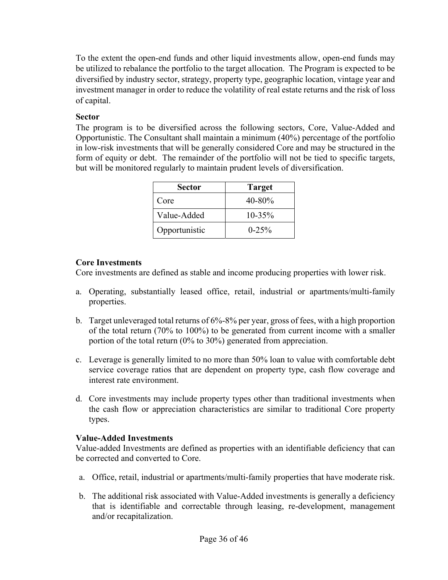To the extent the open-end funds and other liquid investments allow, open-end funds may be utilized to rebalance the portfolio to the target allocation. The Program is expected to be diversified by industry sector, strategy, property type, geographic location, vintage year and investment manager in order to reduce the volatility of real estate returns and the risk of loss of capital.

## **Sector**

The program is to be diversified across the following sectors, Core, Value-Added and Opportunistic. The Consultant shall maintain a minimum (40%) percentage of the portfolio in low-risk investments that will be generally considered Core and may be structured in the form of equity or debt. The remainder of the portfolio will not be tied to specific targets, but will be monitored regularly to maintain prudent levels of diversification.

| <b>Sector</b> | <b>Target</b> |
|---------------|---------------|
| Core          | 40-80%        |
| Value-Added   | $10 - 35\%$   |
| Opportunistic | $0 - 25\%$    |

# **Core Investments**

Core investments are defined as stable and income producing properties with lower risk.

- a. Operating, substantially leased office, retail, industrial or apartments/multi-family properties.
- b. Target unleveraged total returns of 6%-8% per year, gross of fees, with a high proportion of the total return (70% to 100%) to be generated from current income with a smaller portion of the total return (0% to 30%) generated from appreciation.
- c. Leverage is generally limited to no more than 50% loan to value with comfortable debt service coverage ratios that are dependent on property type, cash flow coverage and interest rate environment.
- d. Core investments may include property types other than traditional investments when the cash flow or appreciation characteristics are similar to traditional Core property types.

### **Value-Added Investments**

Value-added Investments are defined as properties with an identifiable deficiency that can be corrected and converted to Core.

- a. Office, retail, industrial or apartments/multi-family properties that have moderate risk.
- b. The additional risk associated with Value-Added investments is generally a deficiency that is identifiable and correctable through leasing, re-development, management and/or recapitalization.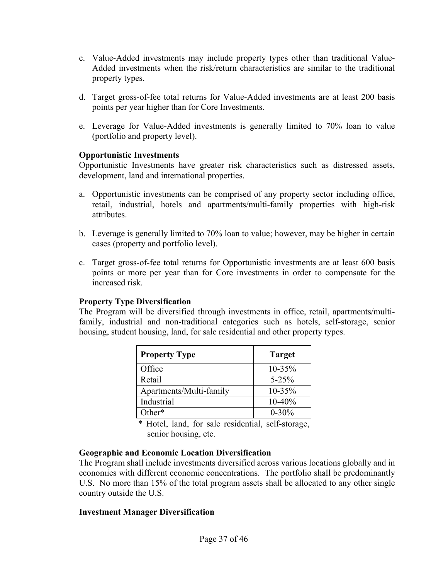- c. Value-Added investments may include property types other than traditional Value-Added investments when the risk/return characteristics are similar to the traditional property types.
- d. Target gross-of-fee total returns for Value-Added investments are at least 200 basis points per year higher than for Core Investments.
- e. Leverage for Value-Added investments is generally limited to 70% loan to value (portfolio and property level).

### **Opportunistic Investments**

Opportunistic Investments have greater risk characteristics such as distressed assets, development, land and international properties.

- a. Opportunistic investments can be comprised of any property sector including office, retail, industrial, hotels and apartments/multi-family properties with high-risk attributes.
- b. Leverage is generally limited to 70% loan to value; however, may be higher in certain cases (property and portfolio level).
- c. Target gross-of-fee total returns for Opportunistic investments are at least 600 basis points or more per year than for Core investments in order to compensate for the increased risk.

### **Property Type Diversification**

The Program will be diversified through investments in office, retail, apartments/multifamily, industrial and non-traditional categories such as hotels, self-storage, senior housing, student housing, land, for sale residential and other property types.

| <b>Property Type</b>    | <b>Target</b> |
|-------------------------|---------------|
| Office                  | $10 - 35\%$   |
| Retail                  | $5 - 25%$     |
| Apartments/Multi-family | $10 - 35%$    |
| Industrial              | $10-40%$      |
| $Other*$                | $0 - 30\%$    |

\* Hotel, land, for sale residential, self-storage, senior housing, etc.

### **Geographic and Economic Location Diversification**

The Program shall include investments diversified across various locations globally and in economies with different economic concentrations. The portfolio shall be predominantly U.S. No more than 15% of the total program assets shall be allocated to any other single country outside the U.S.

### **Investment Manager Diversification**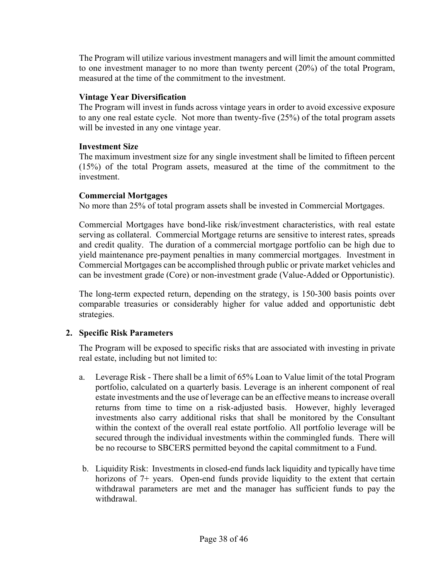The Program will utilize various investment managers and will limit the amount committed to one investment manager to no more than twenty percent (20%) of the total Program, measured at the time of the commitment to the investment.

### **Vintage Year Diversification**

The Program will invest in funds across vintage years in order to avoid excessive exposure to any one real estate cycle. Not more than twenty-five (25%) of the total program assets will be invested in any one vintage year.

### **Investment Size**

The maximum investment size for any single investment shall be limited to fifteen percent (15%) of the total Program assets, measured at the time of the commitment to the investment.

### **Commercial Mortgages**

No more than 25% of total program assets shall be invested in Commercial Mortgages.

Commercial Mortgages have bond-like risk/investment characteristics, with real estate serving as collateral. Commercial Mortgage returns are sensitive to interest rates, spreads and credit quality. The duration of a commercial mortgage portfolio can be high due to yield maintenance pre-payment penalties in many commercial mortgages. Investment in Commercial Mortgages can be accomplished through public or private market vehicles and can be investment grade (Core) or non-investment grade (Value-Added or Opportunistic).

The long-term expected return, depending on the strategy, is 150-300 basis points over comparable treasuries or considerably higher for value added and opportunistic debt strategies.

# **2. Specific Risk Parameters**

The Program will be exposed to specific risks that are associated with investing in private real estate, including but not limited to:

- a. Leverage Risk There shall be a limit of 65% Loan to Value limit of the total Program portfolio, calculated on a quarterly basis. Leverage is an inherent component of real estate investments and the use of leverage can be an effective means to increase overall returns from time to time on a risk-adjusted basis. However, highly leveraged investments also carry additional risks that shall be monitored by the Consultant within the context of the overall real estate portfolio. All portfolio leverage will be secured through the individual investments within the commingled funds. There will be no recourse to SBCERS permitted beyond the capital commitment to a Fund.
- b. Liquidity Risk: Investments in closed-end funds lack liquidity and typically have time horizons of 7+ years. Open-end funds provide liquidity to the extent that certain withdrawal parameters are met and the manager has sufficient funds to pay the withdrawal.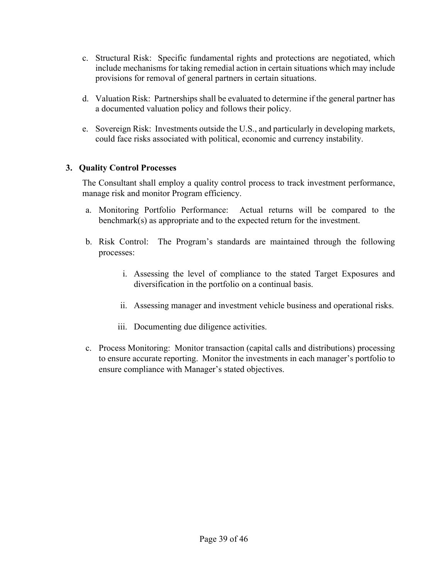- c. Structural Risk: Specific fundamental rights and protections are negotiated, which include mechanisms for taking remedial action in certain situations which may include provisions for removal of general partners in certain situations.
- d. Valuation Risk: Partnerships shall be evaluated to determine if the general partner has a documented valuation policy and follows their policy.
- e. Sovereign Risk: Investments outside the U.S., and particularly in developing markets, could face risks associated with political, economic and currency instability.

# **3. Quality Control Processes**

The Consultant shall employ a quality control process to track investment performance, manage risk and monitor Program efficiency.

- a. Monitoring Portfolio Performance: Actual returns will be compared to the benchmark(s) as appropriate and to the expected return for the investment.
- b. Risk Control: The Program's standards are maintained through the following processes:
	- i. Assessing the level of compliance to the stated Target Exposures and diversification in the portfolio on a continual basis.
	- ii. Assessing manager and investment vehicle business and operational risks.
	- iii. Documenting due diligence activities.
- c. Process Monitoring: Monitor transaction (capital calls and distributions) processing to ensure accurate reporting. Monitor the investments in each manager's portfolio to ensure compliance with Manager's stated objectives.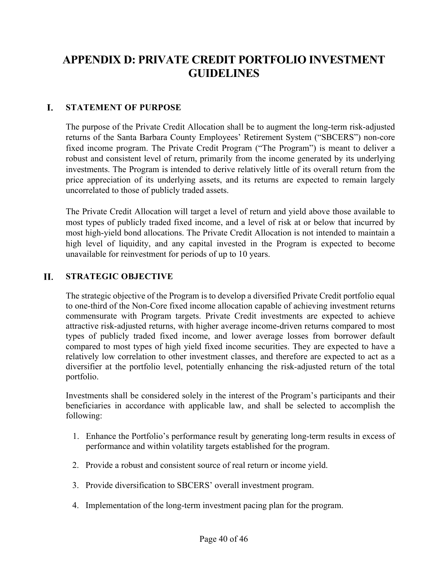# **APPENDIX D: PRIVATE CREDIT PORTFOLIO INVESTMENT GUIDELINES**

#### I. **STATEMENT OF PURPOSE**

The purpose of the Private Credit Allocation shall be to augment the long-term risk-adjusted returns of the Santa Barbara County Employees' Retirement System ("SBCERS") non-core fixed income program. The Private Credit Program ("The Program") is meant to deliver a robust and consistent level of return, primarily from the income generated by its underlying investments. The Program is intended to derive relatively little of its overall return from the price appreciation of its underlying assets, and its returns are expected to remain largely uncorrelated to those of publicly traded assets.

The Private Credit Allocation will target a level of return and yield above those available to most types of publicly traded fixed income, and a level of risk at or below that incurred by most high-yield bond allocations. The Private Credit Allocation is not intended to maintain a high level of liquidity, and any capital invested in the Program is expected to become unavailable for reinvestment for periods of up to 10 years.

#### **STRATEGIC OBJECTIVE**  H.

The strategic objective of the Program is to develop a diversified Private Credit portfolio equal to one-third of the Non-Core fixed income allocation capable of achieving investment returns commensurate with Program targets. Private Credit investments are expected to achieve attractive risk-adjusted returns, with higher average income-driven returns compared to most types of publicly traded fixed income, and lower average losses from borrower default compared to most types of high yield fixed income securities. They are expected to have a relatively low correlation to other investment classes, and therefore are expected to act as a diversifier at the portfolio level, potentially enhancing the risk-adjusted return of the total portfolio.

Investments shall be considered solely in the interest of the Program's participants and their beneficiaries in accordance with applicable law, and shall be selected to accomplish the following:

- 1. Enhance the Portfolio's performance result by generating long-term results in excess of performance and within volatility targets established for the program.
- 2. Provide a robust and consistent source of real return or income yield.
- 3. Provide diversification to SBCERS' overall investment program.
- 4. Implementation of the long-term investment pacing plan for the program.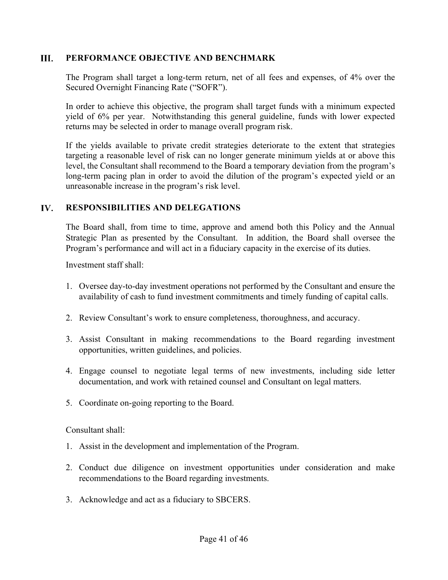#### III. **PERFORMANCE OBJECTIVE AND BENCHMARK**

The Program shall target a long-term return, net of all fees and expenses, of 4% over the Secured Overnight Financing Rate ("SOFR").

In order to achieve this objective, the program shall target funds with a minimum expected yield of 6% per year. Notwithstanding this general guideline, funds with lower expected returns may be selected in order to manage overall program risk.

If the yields available to private credit strategies deteriorate to the extent that strategies targeting a reasonable level of risk can no longer generate minimum yields at or above this level, the Consultant shall recommend to the Board a temporary deviation from the program's long-term pacing plan in order to avoid the dilution of the program's expected yield or an unreasonable increase in the program's risk level.

#### IV. **RESPONSIBILITIES AND DELEGATIONS**

The Board shall, from time to time, approve and amend both this Policy and the Annual Strategic Plan as presented by the Consultant. In addition, the Board shall oversee the Program's performance and will act in a fiduciary capacity in the exercise of its duties.

Investment staff shall:

- 1. Oversee day-to-day investment operations not performed by the Consultant and ensure the availability of cash to fund investment commitments and timely funding of capital calls.
- 2. Review Consultant's work to ensure completeness, thoroughness, and accuracy.
- 3. Assist Consultant in making recommendations to the Board regarding investment opportunities, written guidelines, and policies.
- 4. Engage counsel to negotiate legal terms of new investments, including side letter documentation, and work with retained counsel and Consultant on legal matters.
- 5. Coordinate on-going reporting to the Board.

Consultant shall:

- 1. Assist in the development and implementation of the Program.
- 2. Conduct due diligence on investment opportunities under consideration and make recommendations to the Board regarding investments.
- 3. Acknowledge and act as a fiduciary to SBCERS.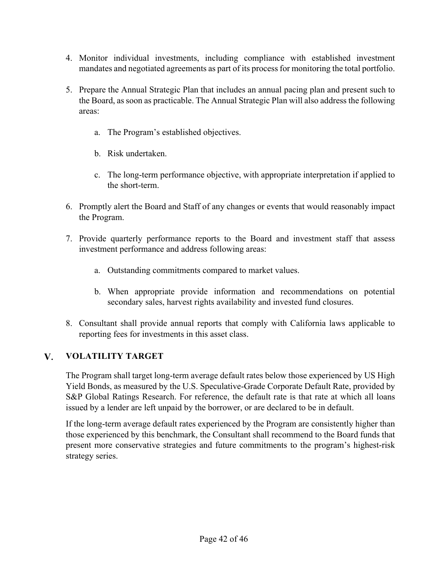- 4. Monitor individual investments, including compliance with established investment mandates and negotiated agreements as part of its process for monitoring the total portfolio.
- 5. Prepare the Annual Strategic Plan that includes an annual pacing plan and present such to the Board, as soon as practicable. The Annual Strategic Plan will also address the following areas:
	- a. The Program's established objectives.
	- b. Risk undertaken.
	- c. The long-term performance objective, with appropriate interpretation if applied to the short-term.
- 6. Promptly alert the Board and Staff of any changes or events that would reasonably impact the Program.
- 7. Provide quarterly performance reports to the Board and investment staff that assess investment performance and address following areas:
	- a. Outstanding commitments compared to market values.
	- b. When appropriate provide information and recommendations on potential secondary sales, harvest rights availability and invested fund closures.
- 8. Consultant shall provide annual reports that comply with California laws applicable to reporting fees for investments in this asset class.

#### V. **VOLATILITY TARGET**

The Program shall target long-term average default rates below those experienced by US High Yield Bonds, as measured by the U.S. Speculative-Grade Corporate Default Rate, provided by S&P Global Ratings Research. For reference, the default rate is that rate at which all loans issued by a lender are left unpaid by the borrower, or are declared to be in default.

If the long-term average default rates experienced by the Program are consistently higher than those experienced by this benchmark, the Consultant shall recommend to the Board funds that present more conservative strategies and future commitments to the program's highest-risk strategy series.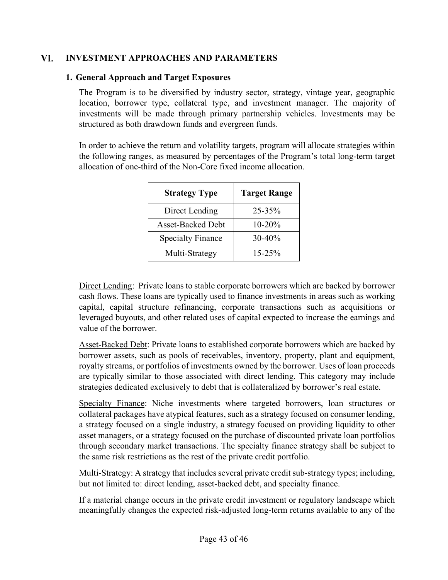#### VI. **INVESTMENT APPROACHES AND PARAMETERS**

### **1. General Approach and Target Exposures**

The Program is to be diversified by industry sector, strategy, vintage year, geographic location, borrower type, collateral type, and investment manager. The majority of investments will be made through primary partnership vehicles. Investments may be structured as both drawdown funds and evergreen funds.

In order to achieve the return and volatility targets, program will allocate strategies within the following ranges, as measured by percentages of the Program's total long-term target allocation of one-third of the Non-Core fixed income allocation.

| <b>Strategy Type</b>     | <b>Target Range</b> |
|--------------------------|---------------------|
| Direct Lending           | 25-35%              |
| <b>Asset-Backed Debt</b> | $10 - 20%$          |
| <b>Specialty Finance</b> | 30-40%              |
| Multi-Strategy           | $15 - 25%$          |

Direct Lending: Private loans to stable corporate borrowers which are backed by borrower cash flows. These loans are typically used to finance investments in areas such as working capital, capital structure refinancing, corporate transactions such as acquisitions or leveraged buyouts, and other related uses of capital expected to increase the earnings and value of the borrower.

Asset-Backed Debt: Private loans to established corporate borrowers which are backed by borrower assets, such as pools of receivables, inventory, property, plant and equipment, royalty streams, or portfolios of investments owned by the borrower. Uses of loan proceeds are typically similar to those associated with direct lending. This category may include strategies dedicated exclusively to debt that is collateralized by borrower's real estate.

Specialty Finance: Niche investments where targeted borrowers, loan structures or collateral packages have atypical features, such as a strategy focused on consumer lending, a strategy focused on a single industry, a strategy focused on providing liquidity to other asset managers, or a strategy focused on the purchase of discounted private loan portfolios through secondary market transactions. The specialty finance strategy shall be subject to the same risk restrictions as the rest of the private credit portfolio.

Multi-Strategy: A strategy that includes several private credit sub-strategy types; including, but not limited to: direct lending, asset-backed debt, and specialty finance.

If a material change occurs in the private credit investment or regulatory landscape which meaningfully changes the expected risk-adjusted long-term returns available to any of the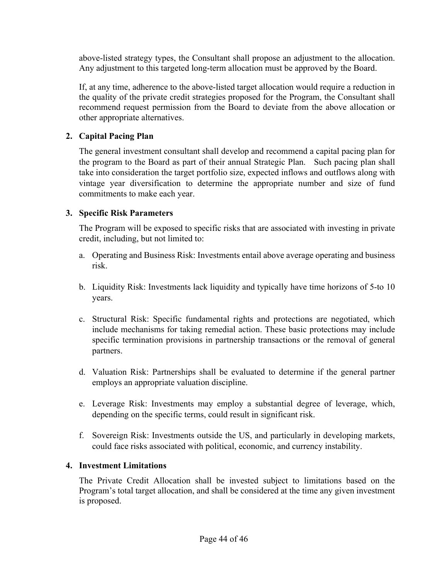above-listed strategy types, the Consultant shall propose an adjustment to the allocation. Any adjustment to this targeted long-term allocation must be approved by the Board.

If, at any time, adherence to the above-listed target allocation would require a reduction in the quality of the private credit strategies proposed for the Program, the Consultant shall recommend request permission from the Board to deviate from the above allocation or other appropriate alternatives.

# **2. Capital Pacing Plan**

The general investment consultant shall develop and recommend a capital pacing plan for the program to the Board as part of their annual Strategic Plan. Such pacing plan shall take into consideration the target portfolio size, expected inflows and outflows along with vintage year diversification to determine the appropriate number and size of fund commitments to make each year.

# **3. Specific Risk Parameters**

The Program will be exposed to specific risks that are associated with investing in private credit, including, but not limited to:

- a. Operating and Business Risk: Investments entail above average operating and business risk.
- b. Liquidity Risk: Investments lack liquidity and typically have time horizons of 5-to 10 years.
- c. Structural Risk: Specific fundamental rights and protections are negotiated, which include mechanisms for taking remedial action. These basic protections may include specific termination provisions in partnership transactions or the removal of general partners.
- d. Valuation Risk: Partnerships shall be evaluated to determine if the general partner employs an appropriate valuation discipline.
- e. Leverage Risk: Investments may employ a substantial degree of leverage, which, depending on the specific terms, could result in significant risk.
- f. Sovereign Risk: Investments outside the US, and particularly in developing markets, could face risks associated with political, economic, and currency instability.

# **4. Investment Limitations**

The Private Credit Allocation shall be invested subject to limitations based on the Program's total target allocation, and shall be considered at the time any given investment is proposed.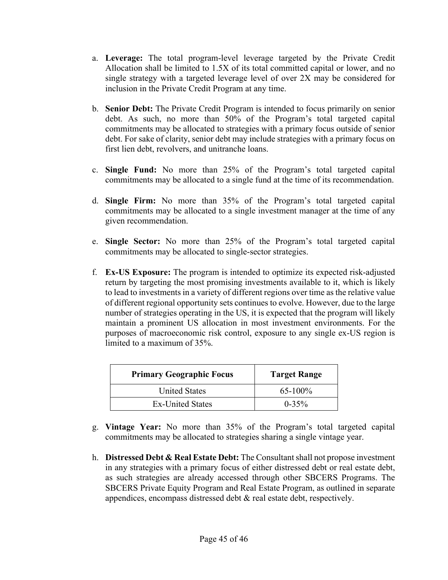- a. **Leverage:** The total program-level leverage targeted by the Private Credit Allocation shall be limited to 1.5X of its total committed capital or lower, and no single strategy with a targeted leverage level of over 2X may be considered for inclusion in the Private Credit Program at any time.
- b. **Senior Debt:** The Private Credit Program is intended to focus primarily on senior debt. As such, no more than 50% of the Program's total targeted capital commitments may be allocated to strategies with a primary focus outside of senior debt. For sake of clarity, senior debt may include strategies with a primary focus on first lien debt, revolvers, and unitranche loans.
- c. **Single Fund:** No more than 25% of the Program's total targeted capital commitments may be allocated to a single fund at the time of its recommendation.
- d. **Single Firm:** No more than 35% of the Program's total targeted capital commitments may be allocated to a single investment manager at the time of any given recommendation.
- e. **Single Sector:** No more than 25% of the Program's total targeted capital commitments may be allocated to single-sector strategies.
- f. **Ex-US Exposure:** The program is intended to optimize its expected risk-adjusted return by targeting the most promising investments available to it, which is likely to lead to investments in a variety of different regions over time as the relative value of different regional opportunity sets continues to evolve. However, due to the large number of strategies operating in the US, it is expected that the program will likely maintain a prominent US allocation in most investment environments. For the purposes of macroeconomic risk control, exposure to any single ex-US region is limited to a maximum of 35%.

| <b>Primary Geographic Focus</b> | <b>Target Range</b> |
|---------------------------------|---------------------|
| <b>United States</b>            | $65-100\%$          |
| <b>Ex-United States</b>         | $0 - 35\%$          |

- g. **Vintage Year:** No more than 35% of the Program's total targeted capital commitments may be allocated to strategies sharing a single vintage year.
- h. **Distressed Debt & Real Estate Debt:** The Consultant shall not propose investment in any strategies with a primary focus of either distressed debt or real estate debt, as such strategies are already accessed through other SBCERS Programs. The SBCERS Private Equity Program and Real Estate Program, as outlined in separate appendices, encompass distressed debt & real estate debt, respectively.